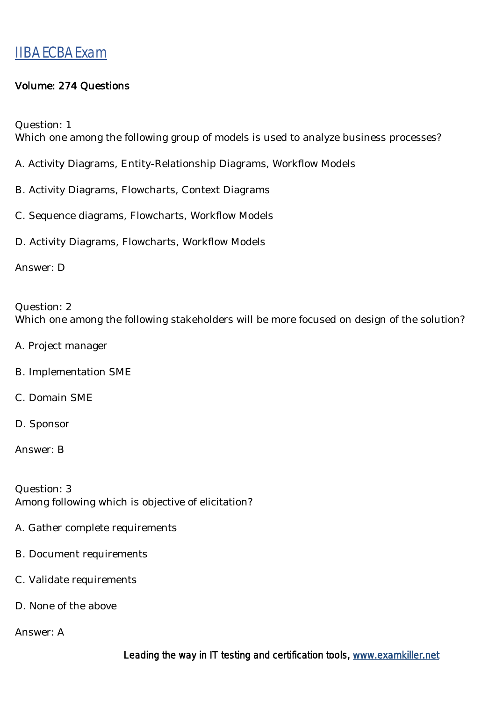#### Volume: 274 Questions

Question: 1

Which one among the following group of models is used to analyze business processes?

- A. Activity Diagrams, Entity-Relationship Diagrams, Workflow Models
- B. Activity Diagrams, Flowcharts, Context Diagrams
- C. Sequence diagrams, Flowcharts, Workflow Models
- D. Activity Diagrams, Flowcharts, Workflow Models

Answer: D

Question: 2 Which one among the following stakeholders will be more focused on design of the solution?

- A. Project manager
- B. Implementation SME
- C. Domain SME
- D. Sponsor

Answer: B

Question: 3 Among following which is objective of elicitation?

- A. Gather complete requirements
- B. Document requirements
- C. Validate requirements
- D. None of the above

Answer: A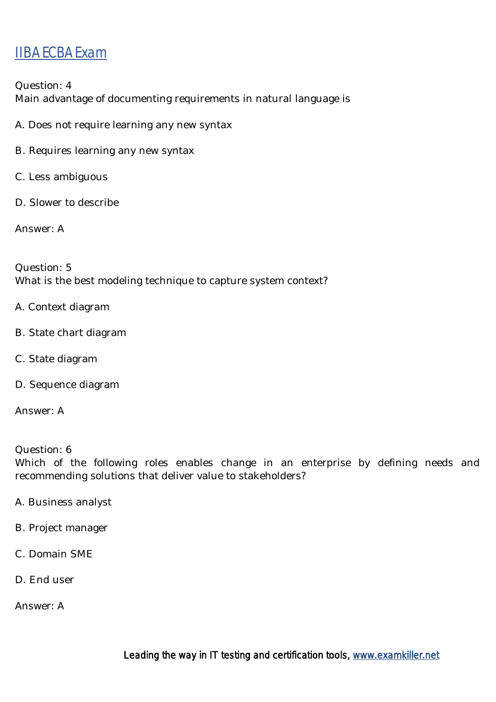Question: 4 Main advantage of documenting requirements in natural language is

- A. Does not require learning any new syntax
- B. Requires learning any new syntax
- C. Less ambiguous
- D. Slower to describe

Answer: A

Question: 5 What is the best modeling technique to capture system context?

- A. Context diagram
- B. State chart diagram
- C. State diagram
- D. Sequence diagram

Answer: A

Question: 6

Which of the following roles enables change in an enterprise by defining needs and recommending solutions that deliver value to stakeholders?

- A. Business analyst
- B. Project manager
- C. Domain SME
- D. End user

Answer: A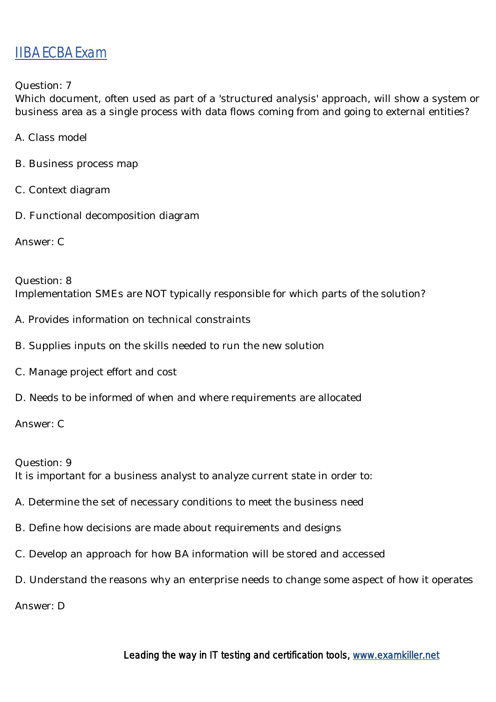Question: 7

Which document, often used as part of a 'structured analysis' approach, will show a system or business area as a single process with data flows coming from and going to external entities?

- A. Class model
- B. Business process map
- C. Context diagram
- D. Functional decomposition diagram

Answer: C

Question: 8 Implementation SMEs are NOT typically responsible for which parts of the solution?

- A. Provides information on technical constraints
- B. Supplies inputs on the skills needed to run the new solution
- C. Manage project effort and cost
- D. Needs to be informed of when and where requirements are allocated

Answer: C

Question: 9

It is important for a business analyst to analyze current state in order to:

- A. Determine the set of necessary conditions to meet the business need
- B. Define how decisions are made about requirements and designs
- C. Develop an approach for how BA information will be stored and accessed
- D. Understand the reasons why an enterprise needs to change some aspect of how it operates

Answer: D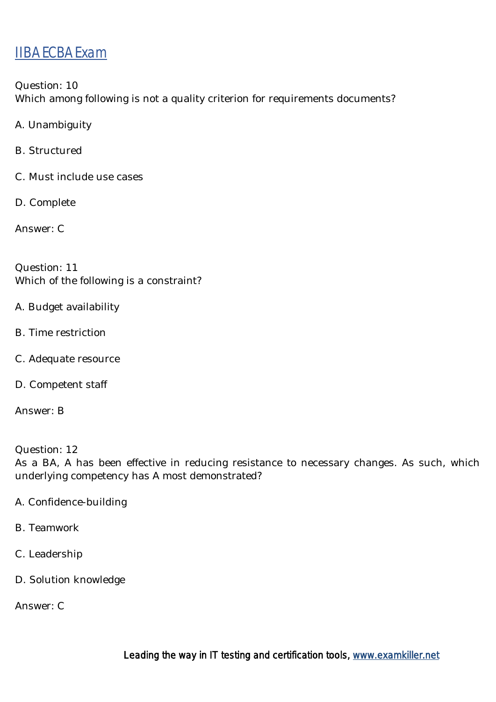Question: 10 Which among following is not a quality criterion for requirements documents?

- A. Unambiguity
- B. Structured
- C. Must include use cases
- D. Complete

Answer: C

Question: 11 Which of the following is a constraint?

- A. Budget availability
- B. Time restriction
- C. Adequate resource
- D. Competent staff

Answer: B

Question: 12 As a BA, A has been effective in reducing resistance to necessary changes. As such, which underlying competency has A most demonstrated?

- A. Confidence-building
- B. Teamwork
- C. Leadership
- D. Solution knowledge

Answer: C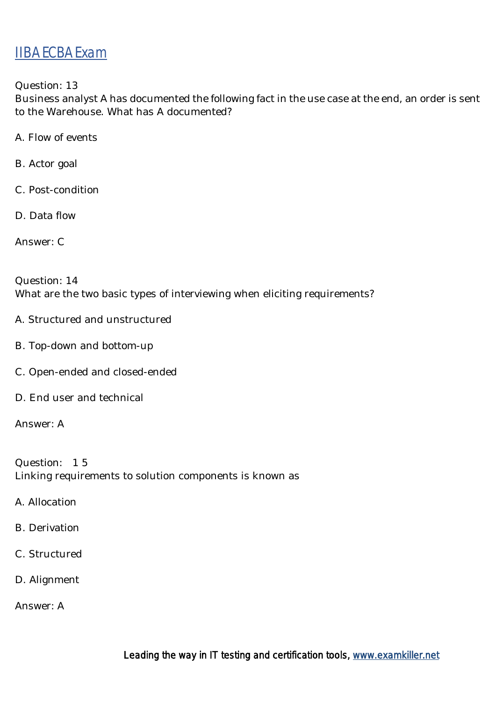Question: 13

Business analyst A has documented the following fact in the use case at the end, an order is sent to the Warehouse. What has A documented?

- A. Flow of events
- B. Actor goal
- C. Post-condition
- D. Data flow

Answer: C

Question: 14 What are the two basic types of interviewing when eliciting requirements?

- A. Structured and unstructured
- B. Top-down and bottom-up
- C. Open-ended and closed-ended
- D. End user and technical

Answer: A

Question: 1 5 Linking requirements to solution components is known as

- A. Allocation
- B. Derivation
- C. Structured
- D. Alignment

Answer: A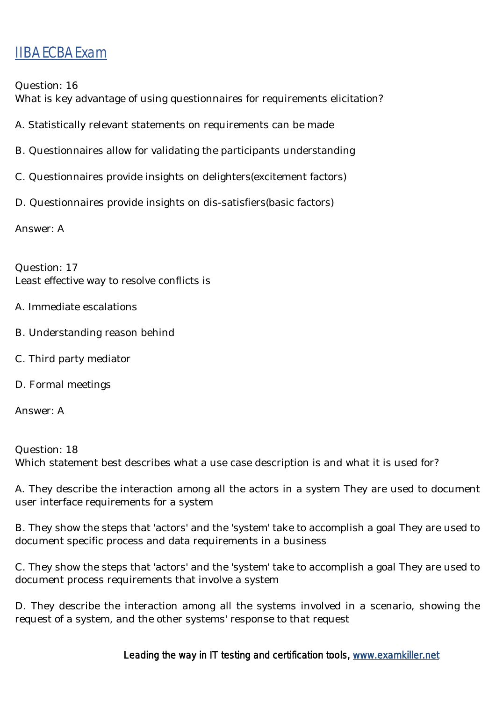Question: 16

What is key advantage of using questionnaires for requirements elicitation?

- A. Statistically relevant statements on requirements can be made
- B. Questionnaires allow for validating the participants understanding
- C. Questionnaires provide insights on delighters(excitement factors)
- D. Questionnaires provide insights on dis-satisfiers(basic factors)

Answer: A

Question: 17 Least effective way to resolve conflicts is

- A. Immediate escalations
- B. Understanding reason behind
- C. Third party mediator
- D. Formal meetings

Answer: A

Question: 18 Which statement best describes what a use case description is and what it is used for?

A. They describe the interaction among all the actors in a system They are used to document user interface requirements for a system

B. They show the steps that 'actors' and the 'system' take to accomplish a goal They are used to document specific process and data requirements in a business

C. They show the steps that 'actors' and the 'system' take to accomplish a goal They are used to document process requirements that involve a system

D. They describe the interaction among all the systems involved in a scenario, showing the request of a system, and the other systems' response to that request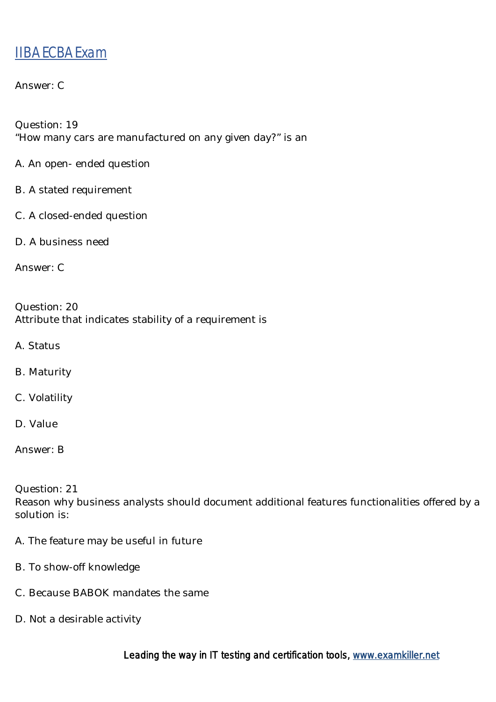#### Answer: C

Question: 19 "How many cars are manufactured on any given day?" is an

- A. An open- ended question
- B. A stated requirement
- C. A closed-ended question
- D. A business need

Answer: C

Question: 20 Attribute that indicates stability of a requirement is

- A. Status
- B. Maturity
- C. Volatility
- D. Value

Question: 21

Reason why business analysts should document additional features functionalities offered by a solution is:

- A. The feature may be useful in future
- B. To show-off knowledge
- C. Because BABOK mandates the same
- D. Not a desirable activity

Answer: B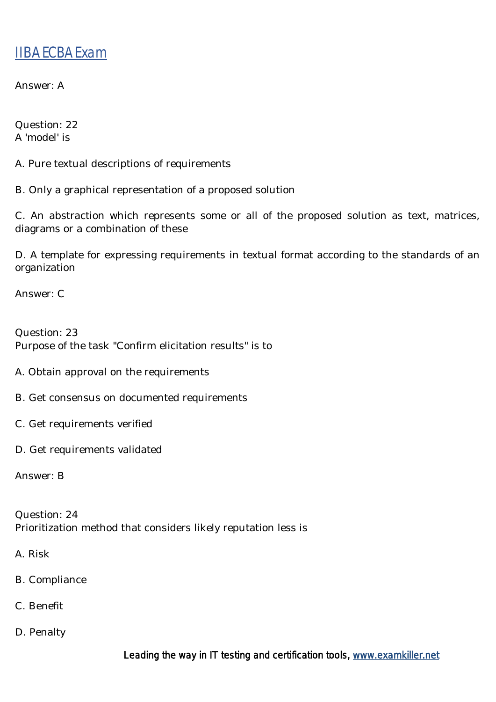Answer: A

Question: 22 A 'model' is

A. Pure textual descriptions of requirements

B. Only a graphical representation of a proposed solution

C. An abstraction which represents some or all of the proposed solution as text, matrices, diagrams or a combination of these

D. A template for expressing requirements in textual format according to the standards of an organization

Answer: C

Question: 23 Purpose of the task "Confirm elicitation results" is to

- A. Obtain approval on the requirements
- B. Get consensus on documented requirements
- C. Get requirements verified
- D. Get requirements validated

Answer: B

Question: 24 Prioritization method that considers likely reputation less is

- A. Risk
- B. Compliance
- C. Benefit
- D. Penalty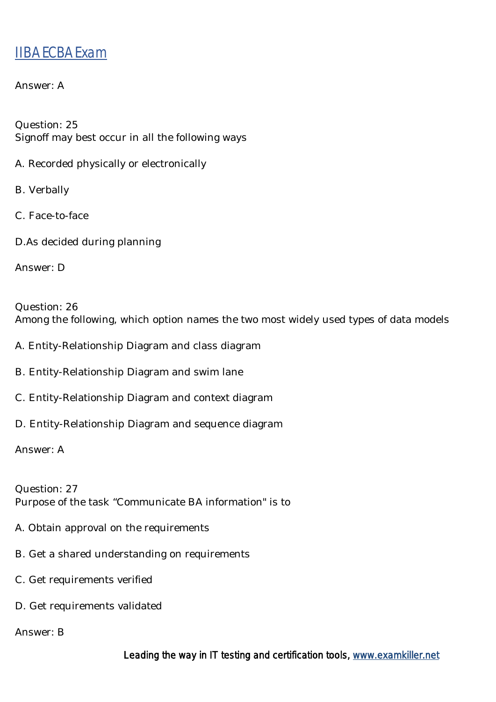#### Answer: A

Question: 25 Signoff may best occur in all the following ways

- A. Recorded physically or electronically
- B. Verbally
- C. Face-to-face
- D.As decided during planning

Answer: D

Question: 26 Among the following, which option names the two most widely used types of data models

- A. Entity-Relationship Diagram and class diagram
- B. Entity-Relationship Diagram and swim lane
- C. Entity-Relationship Diagram and context diagram
- D. Entity-Relationship Diagram and sequence diagram

Answer: A

Question: 27 Purpose of the task "Communicate BA information" is to

- A. Obtain approval on the requirements
- B. Get a shared understanding on requirements
- C. Get requirements verified
- D. Get requirements validated

Answer: B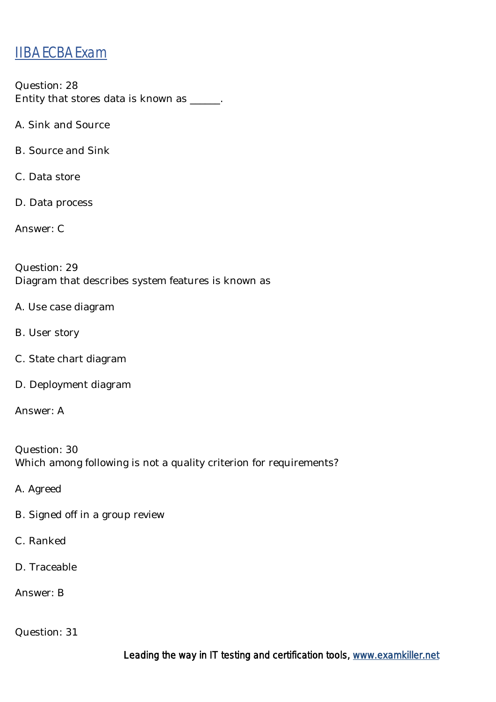Question: 28 Entity that stores data is known as \_\_\_\_\_\_.

A. Sink and Source

B. Source and Sink

C. Data store

D. Data process

Answer: C

Question: 29 Diagram that describes system features is known as

- A. Use case diagram
- B. User story
- C. State chart diagram
- D. Deployment diagram

Answer: A

Question: 30 Which among following is not a quality criterion for requirements?

A. Agreed

- B. Signed off in a group review
- C. Ranked
- D. Traceable

Answer: B

Question: 31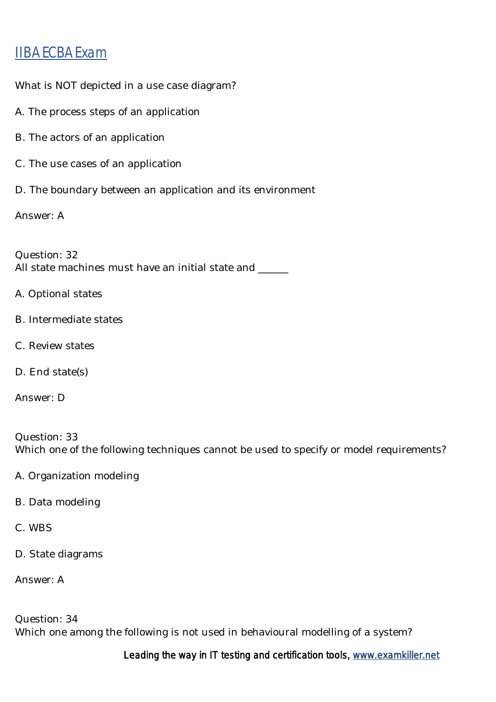What is NOT depicted in a use case diagram?

- A. The process steps of an application
- B. The actors of an application
- C. The use cases of an application
- D. The boundary between an application and its environment

Answer: A

Question: 32 All state machines must have an initial state and \_\_\_\_\_

- A. Optional states
- B. Intermediate states
- C. Review states
- D. End state(s)
- Answer: D

Question: 33 Which one of the following techniques cannot be used to specify or model requirements?

- A. Organization modeling
- B. Data modeling
- C. WBS
- D. State diagrams

Answer: A

Question: 34 Which one among the following is not used in behavioural modelling of a system?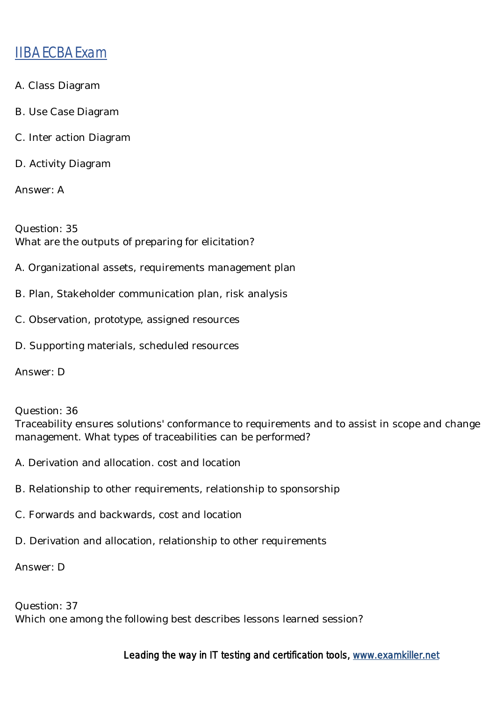- A. Class Diagram
- B. Use Case Diagram
- C. Inter action Diagram
- D. Activity Diagram

Answer: A

Question: 35 What are the outputs of preparing for elicitation?

- A. Organizational assets, requirements management plan
- B. Plan, Stakeholder communication plan, risk analysis
- C. Observation, prototype, assigned resources
- D. Supporting materials, scheduled resources

Answer: D

Question: 36

Traceability ensures solutions' conformance to requirements and to assist in scope and change management. What types of traceabilities can be performed?

- A. Derivation and allocation. cost and location
- B. Relationship to other requirements, relationship to sponsorship
- C. Forwards and backwards, cost and location
- D. Derivation and allocation, relationship to other requirements

Answer: D

Question: 37 Which one among the following best describes lessons learned session?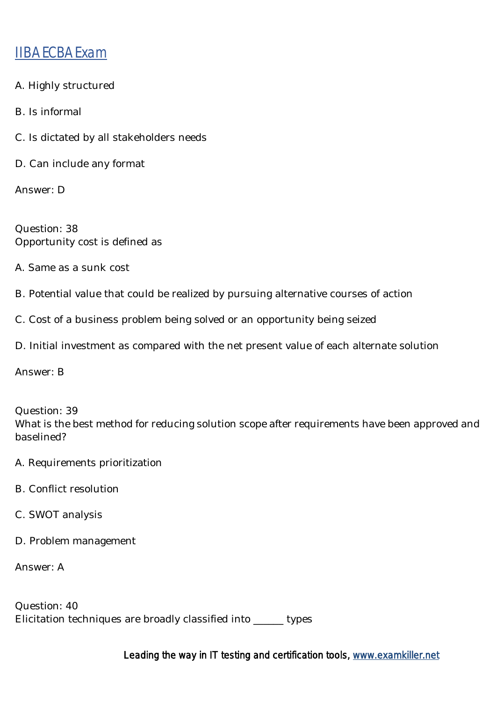- A. Highly structured
- B. Is informal
- C. Is dictated by all stakeholders needs
- D. Can include any format

Answer: D

Question: 38 Opportunity cost is defined as

- A. Same as a sunk cost
- B. Potential value that could be realized by pursuing alternative courses of action
- C. Cost of a business problem being solved or an opportunity being seized
- D. Initial investment as compared with the net present value of each alternate solution

Answer: B

Question: 39 What is the best method for reducing solution scope after requirements have been approved and baselined?

- A. Requirements prioritization
- B. Conflict resolution
- C. SWOT analysis
- D. Problem management

Answer: A

| Question: 40                                       |         |
|----------------------------------------------------|---------|
| Elicitation techniques are broadly classified into | _ types |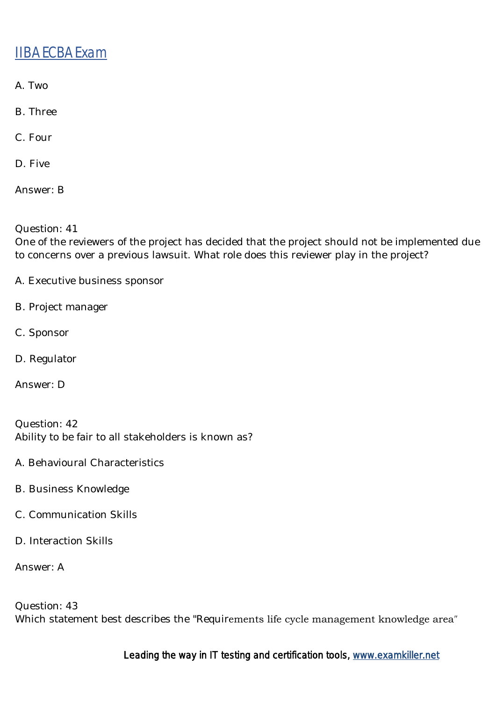- A. Two
- B. Three
- C. Four
- D. Five
- Answer: B
- Question: 41

One of the reviewers of the project has decided that the project should not be implemented due to concerns over a previous lawsuit. What role does this reviewer play in the project?

- A. Executive business sponsor
- B. Project manager
- C. Sponsor
- D. Regulator
- Answer: D

Question: 42 Ability to be fair to all stakeholders is known as?

- A. Behavioural Characteristics
- B. Business Knowledge
- C. Communication Skills
- D. Interaction Skills
- Answer: A

Question: 43 Which statement best describes the "Requirements life cycle management knowledge area″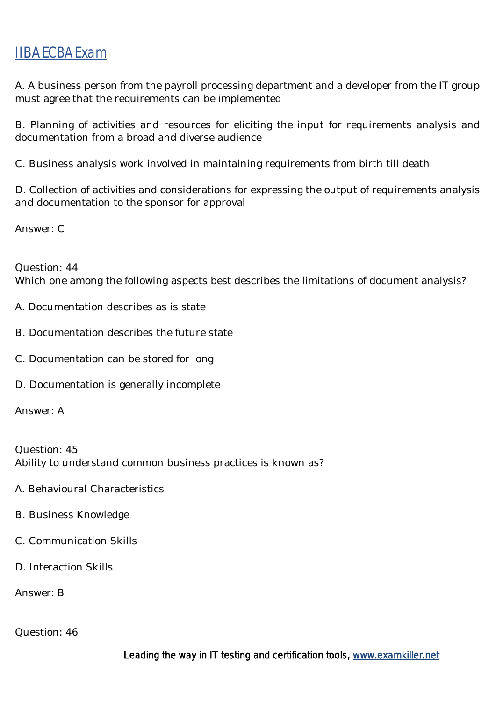A. A business person from the payroll processing department and a developer from the IT group must agree that the requirements can be implemented

B. Planning of activities and resources for eliciting the input for requirements analysis and documentation from a broad and diverse audience

C. Business analysis work involved in maintaining requirements from birth till death

D. Collection of activities and considerations for expressing the output of requirements analysis and documentation to the sponsor for approval

Answer: C

Question: 44 Which one among the following aspects best describes the limitations of document analysis?

- A. Documentation describes as is state
- B. Documentation describes the future state
- C. Documentation can be stored for long
- D. Documentation is generally incomplete

Answer: A

Question: 45 Ability to understand common business practices is known as?

- A. Behavioural Characteristics
- B. Business Knowledge
- C. Communication Skills
- D. Interaction Skills

Answer: B

Question: 46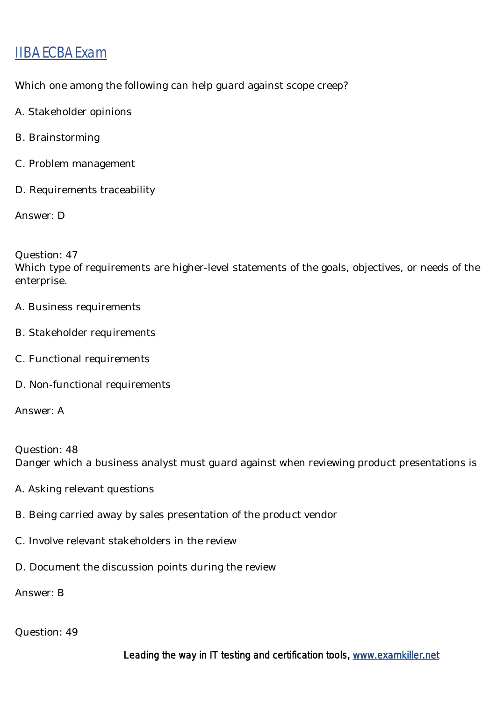Which one among the following can help guard against scope creep?

- A. Stakeholder opinions
- B. Brainstorming
- C. Problem management
- D. Requirements traceability

Answer: D

Question: 47

Which type of requirements are higher-level statements of the goals, objectives, or needs of the enterprise.

- A. Business requirements
- B. Stakeholder requirements
- C. Functional requirements
- D. Non-functional requirements

Answer: A

Question: 48 Danger which a business analyst must guard against when reviewing product presentations is

- A. Asking relevant questions
- B. Being carried away by sales presentation of the product vendor
- C. Involve relevant stakeholders in the review
- D. Document the discussion points during the review

Answer: B

#### Question: 49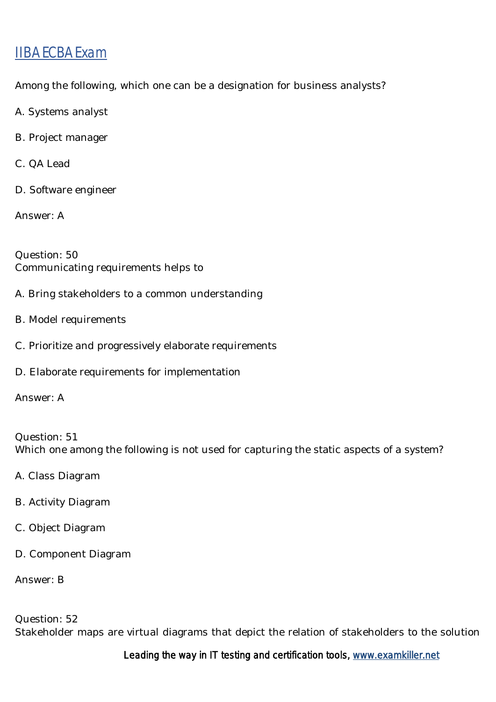Among the following, which one can be a designation for business analysts?

- A. Systems analyst
- B. Project manager
- C. QA Lead
- D. Software engineer
- Answer: A

Question: 50 Communicating requirements helps to

- A. Bring stakeholders to a common understanding
- B. Model requirements
- C. Prioritize and progressively elaborate requirements
- D. Elaborate requirements for implementation
- Answer: A

Question: 51 Which one among the following is not used for capturing the static aspects of a system?

- A. Class Diagram
- B. Activity Diagram
- C. Object Diagram
- D. Component Diagram

Answer: B

Question: 52 Stakeholder maps are virtual diagrams that depict the relation of stakeholders to the solution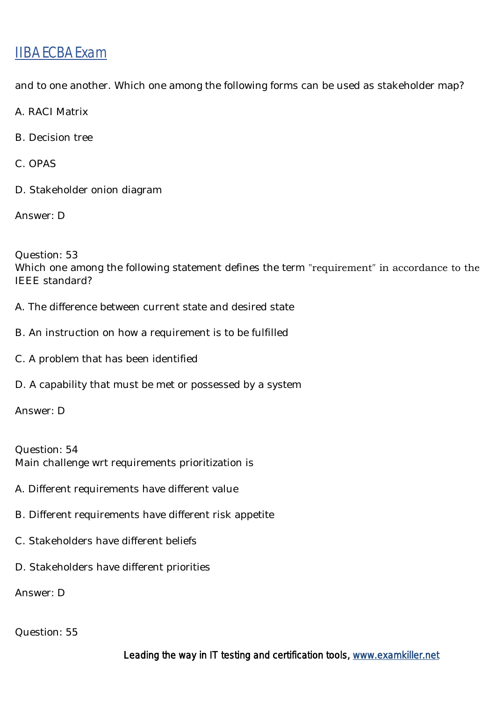and to one another. Which one among the following forms can be used as stakeholder map?

A. RACI Matrix

B. Decision tree

C. OPAS

D. Stakeholder onion diagram

Answer: D

Question: 53 Which one among the following statement defines the term "requirement″ in accordance to the IEEE standard?

- A. The difference between current state and desired state
- B. An instruction on how a requirement is to be fulfilled
- C. A problem that has been identified
- D. A capability that must be met or possessed by a system

Answer: D

Question: 54 Main challenge wrt requirements prioritization is

- A. Different requirements have different value
- B. Different requirements have different risk appetite
- C. Stakeholders have different beliefs
- D. Stakeholders have different priorities

Answer: D

#### Question: 55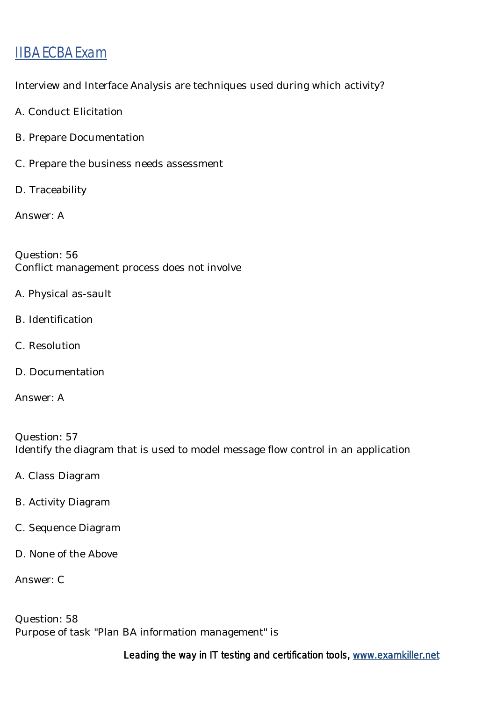Interview and Interface Analysis are techniques used during which activity?

- A. Conduct Elicitation
- B. Prepare Documentation
- C. Prepare the business needs assessment
- D. Traceability

Answer: A

Question: 56 Conflict management process does not involve

- A. Physical as-sault
- B. Identification
- C. Resolution
- D. Documentation
- Answer: A

Question: 57 Identify the diagram that is used to model message flow control in an application

- A. Class Diagram
- B. Activity Diagram
- C. Sequence Diagram
- D. None of the Above

Answer: C

Question: 58 Purpose of task "Plan BA information management" is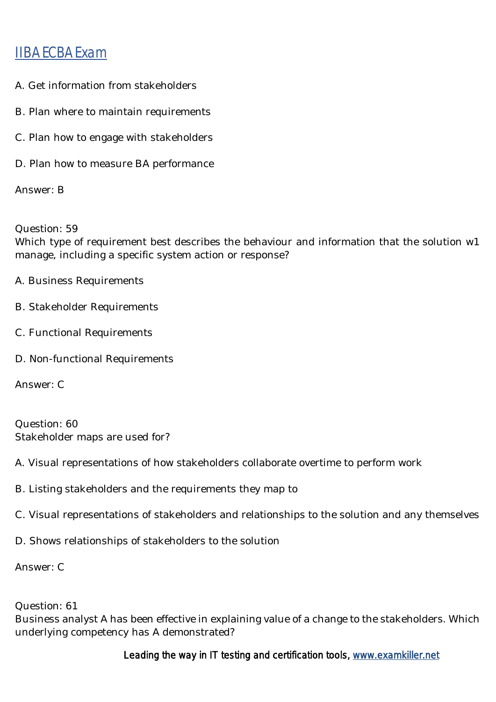- A. Get information from stakeholders
- B. Plan where to maintain requirements
- C. Plan how to engage with stakeholders
- D. Plan how to measure BA performance

Answer: B

Question: 59

Which type of requirement best describes the behaviour and information that the solution w1 manage, including a specific system action or response?

- A. Business Requirements
- B. Stakeholder Requirements
- C. Functional Requirements
- D. Non-functional Requirements

Answer: C

Question: 60 Stakeholder maps are used for?

A. Visual representations of how stakeholders collaborate overtime to perform work

- B. Listing stakeholders and the requirements they map to
- C. Visual representations of stakeholders and relationships to the solution and any themselves

D. Shows relationships of stakeholders to the solution

Answer: C

#### Question: 61

Business analyst A has been effective in explaining value of a change to the stakeholders. Which underlying competency has A demonstrated?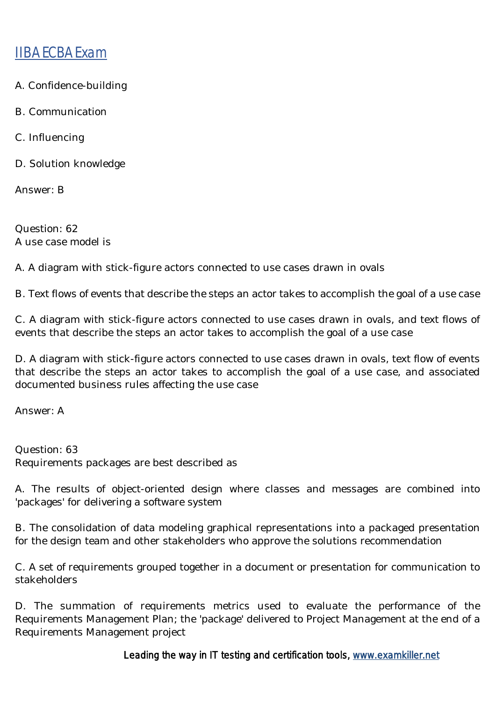- A. Confidence-building
- B. Communication
- C. Influencing
- D. Solution knowledge

Answer: B

Question: 62 A use case model is

A. A diagram with stick-figure actors connected to use cases drawn in ovals

B. Text flows of events that describe the steps an actor takes to accomplish the goal of a use case

C. A diagram with stick-figure actors connected to use cases drawn in ovals, and text flows of events that describe the steps an actor takes to accomplish the goal of a use case

D. A diagram with stick-figure actors connected to use cases drawn in ovals, text flow of events that describe the steps an actor takes to accomplish the goal of a use case, and associated documented business rules affecting the use case

Answer: A

Question: 63 Requirements packages are best described as

A. The results of object-oriented design where classes and messages are combined into 'packages' for delivering a software system

B. The consolidation of data modeling graphical representations into a packaged presentation for the design team and other stakeholders who approve the solutions recommendation

C. A set of requirements grouped together in a document or presentation for communication to stakeholders

D. The summation of requirements metrics used to evaluate the performance of the Requirements Management Plan; the 'package' delivered to Project Management at the end of a Requirements Management project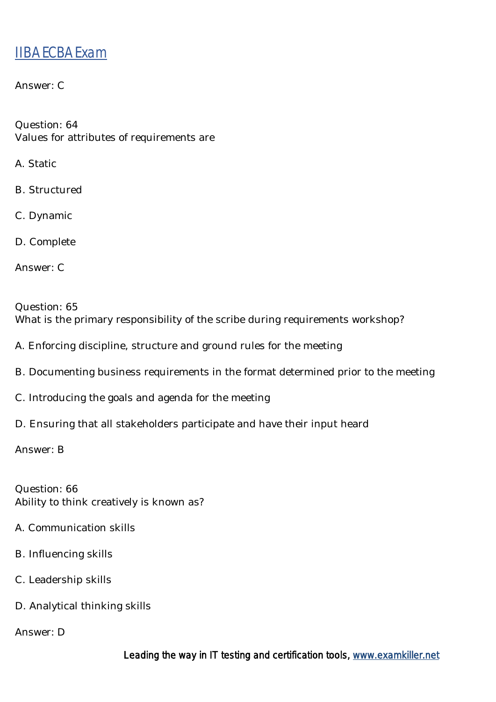Answer: C

Question: 64 Values for attributes of requirements are

A. Static

B. Structured

C. Dynamic

D. Complete

Answer: C

Question: 65 What is the primary responsibility of the scribe during requirements workshop?

A. Enforcing discipline, structure and ground rules for the meeting

- B. Documenting business requirements in the format determined prior to the meeting
- C. Introducing the goals and agenda for the meeting
- D. Ensuring that all stakeholders participate and have their input heard

Answer: B

Question: 66 Ability to think creatively is known as?

- A. Communication skills
- B. Influencing skills
- C. Leadership skills
- D. Analytical thinking skills

Answer: D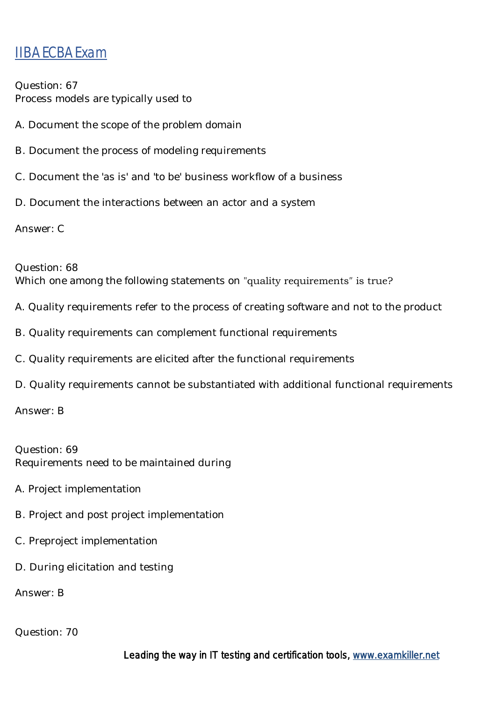Question: 67 Process models are typically used to

- A. Document the scope of the problem domain
- B. Document the process of modeling requirements
- C. Document the 'as is' and 'to be' business workflow of a business
- D. Document the interactions between an actor and a system

Answer: C

#### Question: 68

Which one among the following statements on "quality requirements" is true?

- A. Quality requirements refer to the process of creating software and not to the product
- B. Quality requirements can complement functional requirements
- C. Quality requirements are elicited after the functional requirements
- D. Quality requirements cannot be substantiated with additional functional requirements

Answer: B

Question: 69 Requirements need to be maintained during

- A. Project implementation
- B. Project and post project implementation
- C. Preproject implementation
- D. During elicitation and testing

Answer: B

Question: 70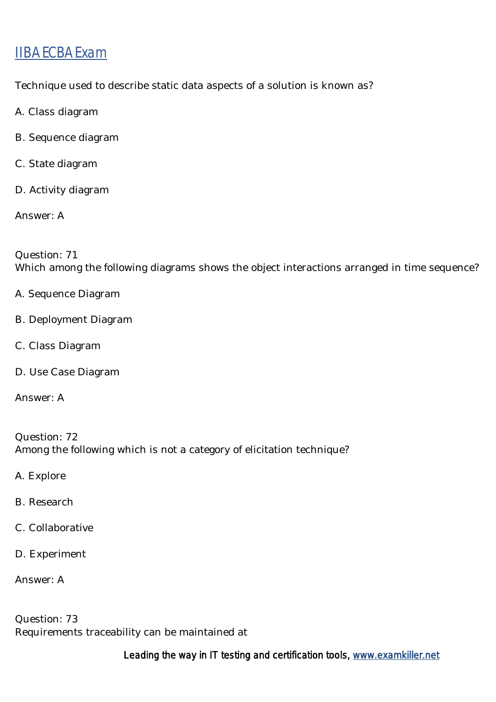Technique used to describe static data aspects of a solution is known as?

- A. Class diagram
- B. Sequence diagram
- C. State diagram
- D. Activity diagram
- Answer: A

Question: 71 Which among the following diagrams shows the object interactions arranged in time sequence?

- A. Sequence Diagram
- B. Deployment Diagram
- C. Class Diagram
- D. Use Case Diagram
- Answer: A

Question: 72 Among the following which is not a category of elicitation technique?

- A. Explore
- B. Research
- C. Collaborative
- D. Experiment
- Answer: A

Question: 73 Requirements traceability can be maintained at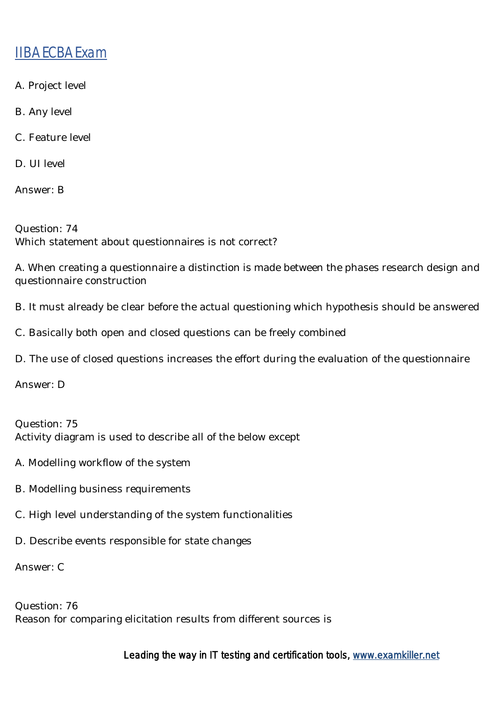- A. Project level
- B. Any level
- C. Feature level
- D. UI level

Answer: B

Question: 74 Which statement about questionnaires is not correct?

A. When creating a questionnaire a distinction is made between the phases research design and questionnaire construction

B. It must already be clear before the actual questioning which hypothesis should be answered

C. Basically both open and closed questions can be freely combined

D. The use of closed questions increases the effort during the evaluation of the questionnaire

Answer: D

Question: 75 Activity diagram is used to describe all of the below except

- A. Modelling workflow of the system
- B. Modelling business requirements
- C. High level understanding of the system functionalities
- D. Describe events responsible for state changes

Answer: C

Question: 76 Reason for comparing elicitation results from different sources is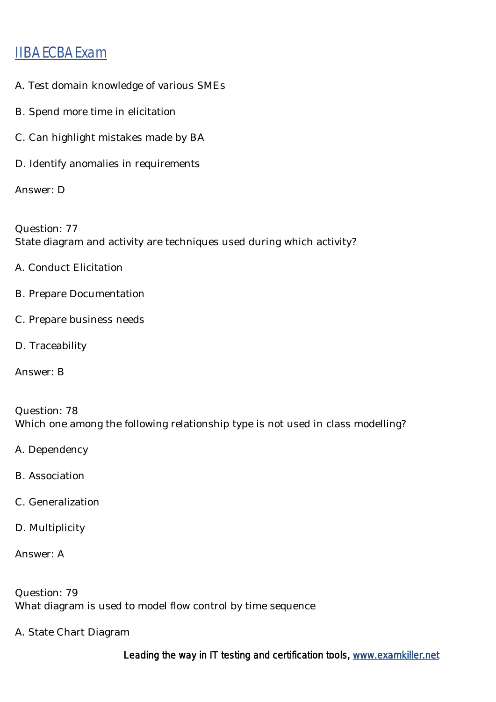- A. Test domain knowledge of various SMEs
- B. Spend more time in elicitation
- C. Can highlight mistakes made by BA
- D. Identify anomalies in requirements

Answer: D

Question: 77 State diagram and activity are techniques used during which activity?

- A. Conduct Elicitation
- B. Prepare Documentation
- C. Prepare business needs
- D. Traceability
- Answer: B

Question: 78 Which one among the following relationship type is not used in class modelling?

- A. Dependency
- B. Association
- C. Generalization
- D. Multiplicity
- Answer: A

Question: 79 What diagram is used to model flow control by time sequence

A. State Chart Diagram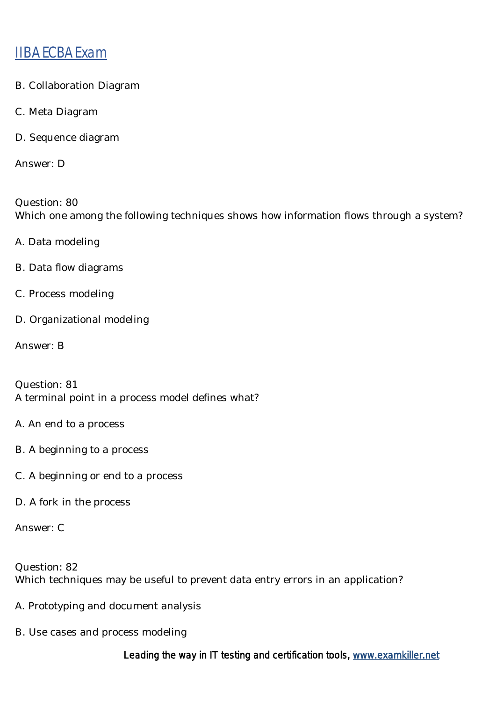- B. Collaboration Diagram
- C. Meta Diagram
- D. Sequence diagram

Answer: D

Question: 80 Which one among the following techniques shows how information flows through a system?

- A. Data modeling
- B. Data flow diagrams
- C. Process modeling
- D. Organizational modeling
- Answer: B

Question: 81 A terminal point in a process model defines what?

- A. An end to a process
- B. A beginning to a process
- C. A beginning or end to a process
- D. A fork in the process

Answer: C

Question: 82 Which techniques may be useful to prevent data entry errors in an application?

- A. Prototyping and document analysis
- B. Use cases and process modeling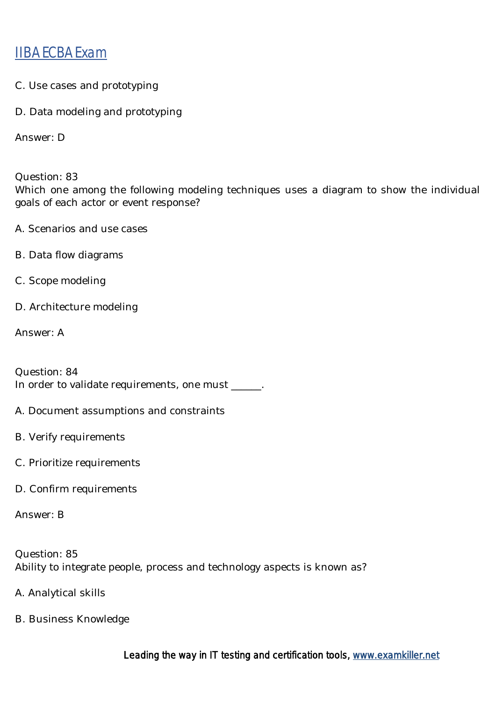- C. Use cases and prototyping
- D. Data modeling and prototyping

Answer: D

Question: 83

Which one among the following modeling techniques uses a diagram to show the individual goals of each actor or event response?

- A. Scenarios and use cases
- B. Data flow diagrams
- C. Scope modeling
- D. Architecture modeling

Answer: A

Question: 84 In order to validate requirements, one must \_\_\_\_\_\_.

- A. Document assumptions and constraints
- B. Verify requirements
- C. Prioritize requirements
- D. Confirm requirements

Answer: B

Question: 85 Ability to integrate people, process and technology aspects is known as?

- A. Analytical skills
- B. Business Knowledge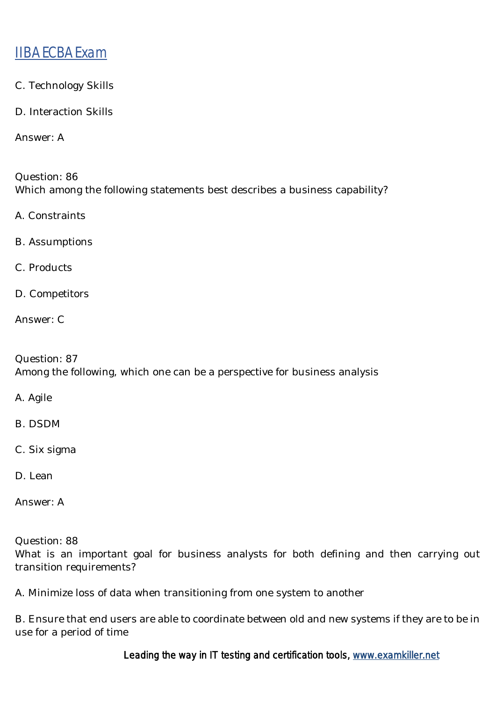- C. Technology Skills
- D. Interaction Skills

Answer: A

Question: 86 Which among the following statements best describes a business capability?

A. Constraints

B. Assumptions

C. Products

D. Competitors

Answer: C

Question: 87 Among the following, which one can be a perspective for business analysis

A. Agile

B. DSDM

C. Six sigma

D. Lean

Answer: A

Question: 88

What is an important goal for business analysts for both defining and then carrying out transition requirements?

A. Minimize loss of data when transitioning from one system to another

B. Ensure that end users are able to coordinate between old and new systems if they are to be in use for a period of time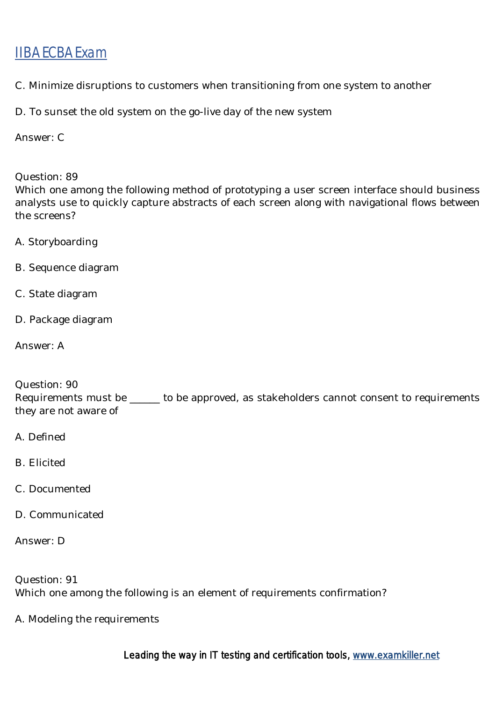C. Minimize disruptions to customers when transitioning from one system to another

D. To sunset the old system on the go-live day of the new system

Answer: C

Question: 89

Which one among the following method of prototyping a user screen interface should business analysts use to quickly capture abstracts of each screen along with navigational flows between the screens?

- A. Storyboarding
- B. Sequence diagram
- C. State diagram
- D. Package diagram

Answer: A

Question: 90

Requirements must be \_\_\_\_\_\_ to be approved, as stakeholders cannot consent to requirements they are not aware of

- A. Defined
- B. Elicited
- C. Documented
- D. Communicated

Answer: D

Question: 91 Which one among the following is an element of requirements confirmation?

A. Modeling the requirements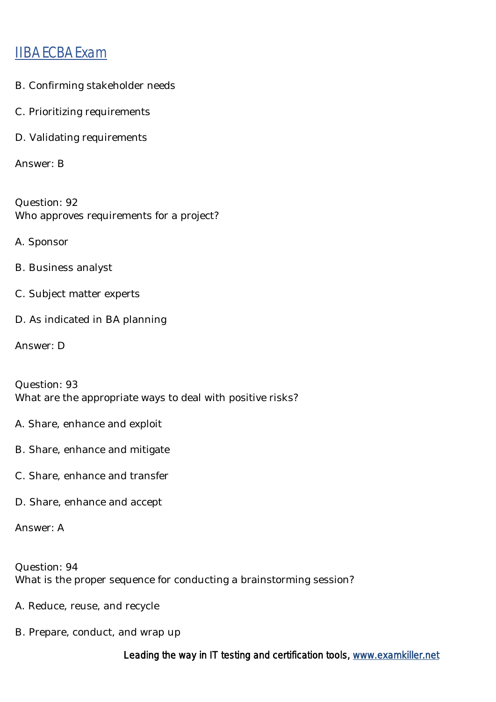- B. Confirming stakeholder needs
- C. Prioritizing requirements
- D. Validating requirements

Answer: B

Question: 92 Who approves requirements for a project?

- A. Sponsor
- B. Business analyst
- C. Subject matter experts
- D. As indicated in BA planning
- Answer: D

Question: 93 What are the appropriate ways to deal with positive risks?

- A. Share, enhance and exploit
- B. Share, enhance and mitigate
- C. Share, enhance and transfer
- D. Share, enhance and accept

Answer: A

Question: 94 What is the proper sequence for conducting a brainstorming session?

- A. Reduce, reuse, and recycle
- B. Prepare, conduct, and wrap up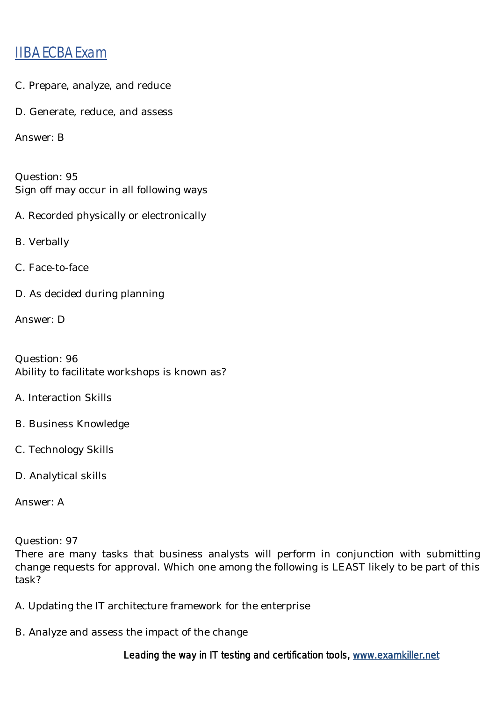- C. Prepare, analyze, and reduce
- D. Generate, reduce, and assess

Answer: B

Question: 95 Sign off may occur in all following ways

A. Recorded physically or electronically

B. Verbally

C. Face-to-face

D. As decided during planning

Answer: D

Question: 96 Ability to facilitate workshops is known as?

A. Interaction Skills

- B. Business Knowledge
- C. Technology Skills
- D. Analytical skills

Answer: A

Question: 97

There are many tasks that business analysts will perform in conjunction with submitting change requests for approval. Which one among the following is LEAST likely to be part of this task?

- A. Updating the IT architecture framework for the enterprise
- B. Analyze and assess the impact of the change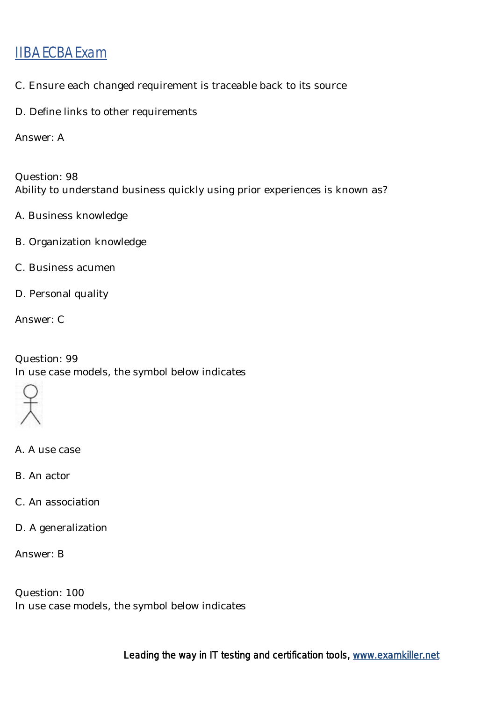- C. Ensure each changed requirement is traceable back to its source
- D. Define links to other requirements

Answer: A

Question: 98 Ability to understand business quickly using prior experiences is known as?

- A. Business knowledge
- B. Organization knowledge
- C. Business acumen
- D. Personal quality

Answer: C

Question: 99 In use case models, the symbol below indicates



- A. A use case
- B. An actor
- C. An association
- D. A generalization

Answer: B

Question: 100 In use case models, the symbol below indicates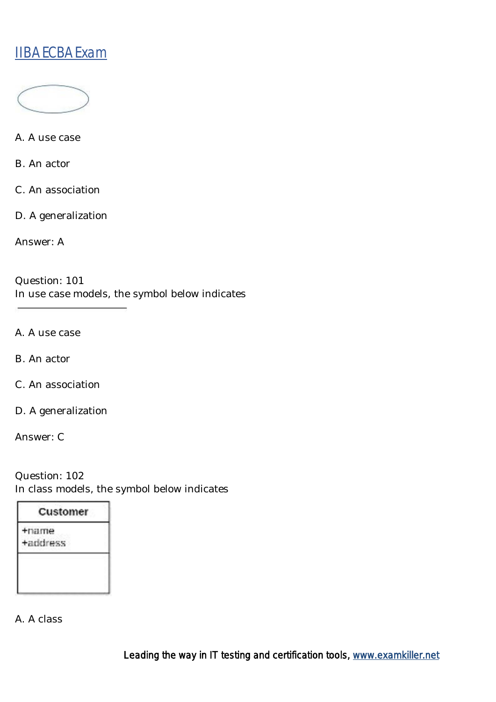

A. A use case

B. An actor

C. An association

D. A generalization

Answer: A

Question: 101 In use case models, the symbol below indicates

A. A use case

B. An actor

C. An association

D. A generalization

Answer: C

Question: 102 In class models, the symbol below indicates

| Customer |  |
|----------|--|
| +name    |  |
| +address |  |

A. A class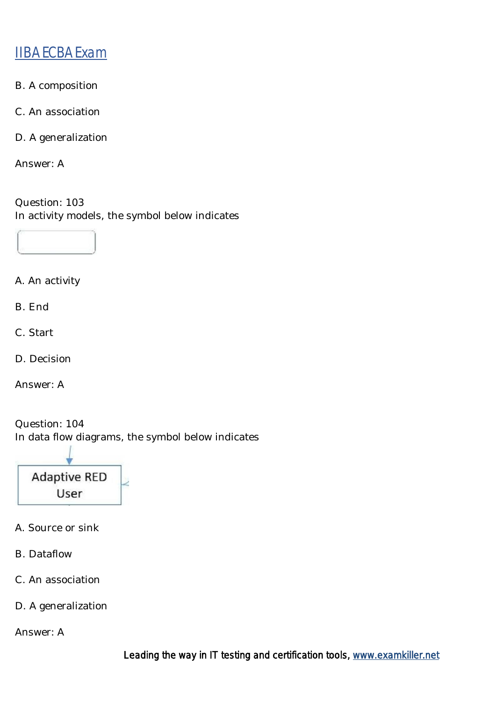- B. A composition
- C. An association
- D. A generalization

Answer: A

Question: 103 In activity models, the symbol below indicates



- A. An activity
- B. End
- C. Start
- D. Decision

Answer: A

Question: 104 In data flow diagrams, the symbol below indicates



- A. Source or sink
- B. Dataflow
- C. An association
- D. A generalization

Answer: A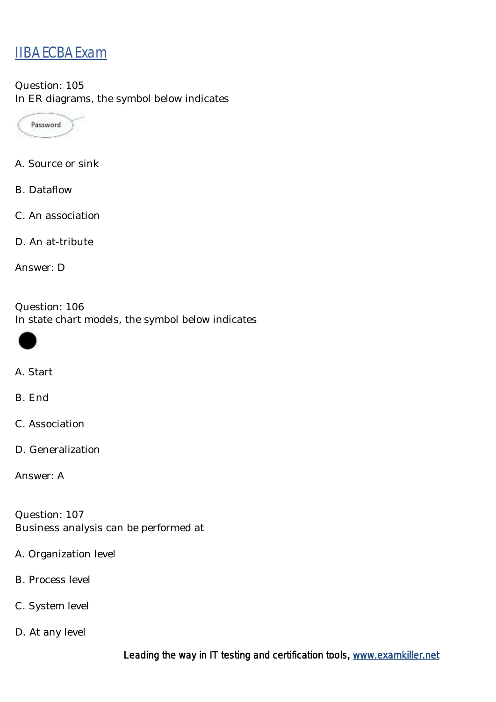Question: 105 In ER diagrams, the symbol below indicates



- A. Source or sink
- B. Dataflow
- C. An association
- D. An at-tribute

Answer: D

Question: 106 In state chart models, the symbol below indicates



#### A. Start

B. End

- C. Association
- D. Generalization

Answer: A

Question: 107 Business analysis can be performed at

- A. Organization level
- B. Process level
- C. System level
- D. At any level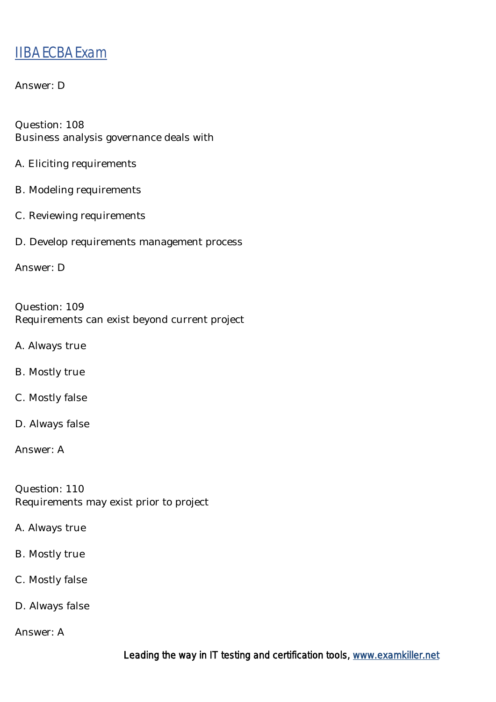#### Answer: D

Question: 108 Business analysis governance deals with

- A. Eliciting requirements
- B. Modeling requirements
- C. Reviewing requirements
- D. Develop requirements management process

Answer: D

Question: 109 Requirements can exist beyond current project

A. Always true

B. Mostly true

C. Mostly false

D. Always false

Answer: A

Question: 110 Requirements may exist prior to project

A. Always true

B. Mostly true

C. Mostly false

D. Always false

Answer: A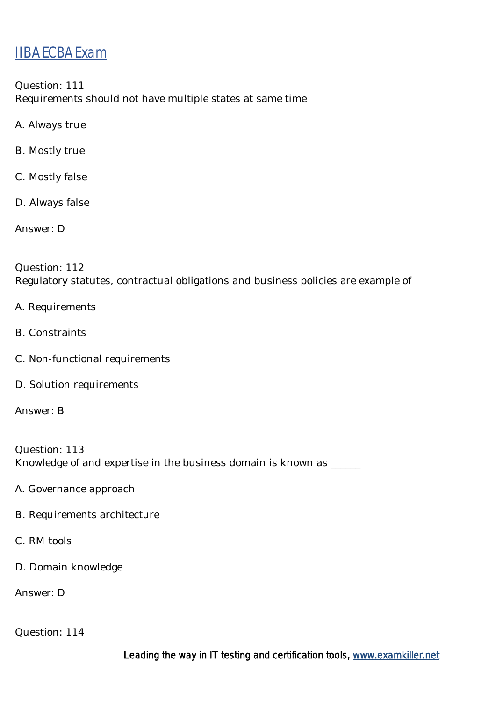Question: 111 Requirements should not have multiple states at same time

- A. Always true
- B. Mostly true
- C. Mostly false
- D. Always false

Answer: D

Question: 112 Regulatory statutes, contractual obligations and business policies are example of

- A. Requirements
- B. Constraints
- C. Non-functional requirements
- D. Solution requirements

Answer: B

Question: 113 Knowledge of and expertise in the business domain is known as \_\_\_\_\_

- A. Governance approach
- B. Requirements architecture
- C. RM tools
- D. Domain knowledge

Answer: D

Question: 114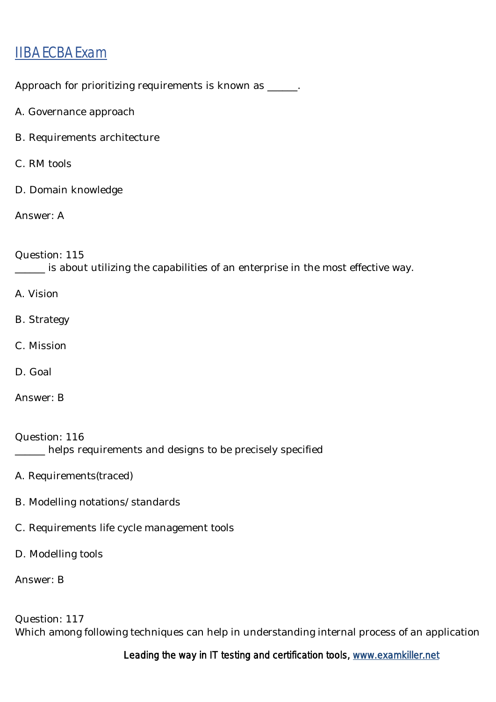Approach for prioritizing requirements is known as \_\_\_\_\_\_.

- A. Governance approach
- B. Requirements architecture
- C. RM tools
- D. Domain knowledge

Answer: A

Question: 115

\_\_\_\_\_\_ is about utilizing the capabilities of an enterprise in the most effective way.

- A. Vision
- B. Strategy
- C. Mission
- D. Goal
- Answer: B

Question: 116 \_\_\_\_\_\_ helps requirements and designs to be precisely specified

- A. Requirements(traced)
- B. Modelling notations/standards
- C. Requirements life cycle management tools
- D. Modelling tools

Answer: B

Question: 117 Which among following techniques can help in understanding internal process of an application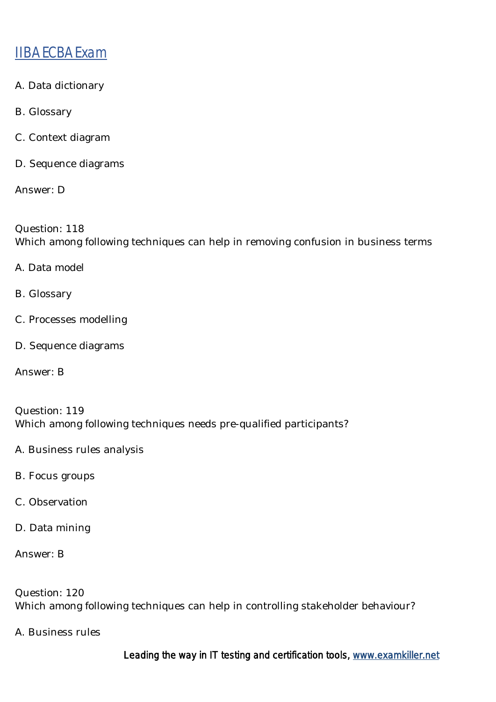- A. Data dictionary
- B. Glossary
- C. Context diagram
- D. Sequence diagrams

Answer: D

Question: 118 Which among following techniques can help in removing confusion in business terms

- A. Data model
- B. Glossary
- C. Processes modelling
- D. Sequence diagrams

Answer: B

Question: 119 Which among following techniques needs pre-qualified participants?

- A. Business rules analysis
- B. Focus groups
- C. Observation
- D. Data mining

Answer: B

Question: 120 Which among following techniques can help in controlling stakeholder behaviour?

A. Business rules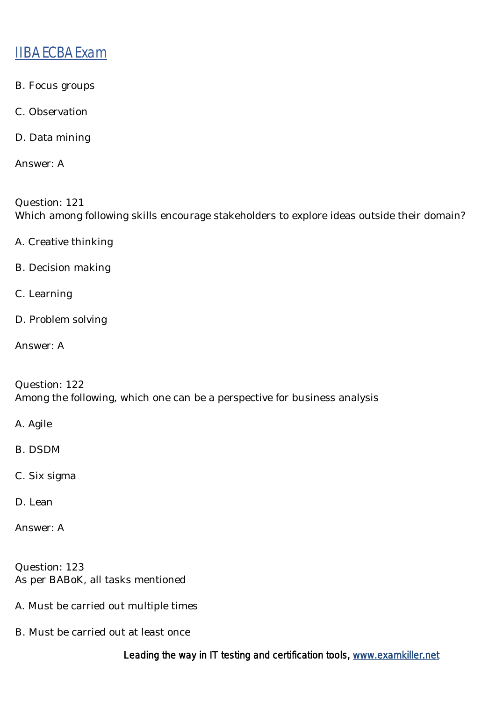- B. Focus groups
- C. Observation
- D. Data mining

Answer: A

Question: 121 Which among following skills encourage stakeholders to explore ideas outside their domain?

- A. Creative thinking
- B. Decision making
- C. Learning
- D. Problem solving
- Answer: A

Question: 122 Among the following, which one can be a perspective for business analysis

- A. Agile
- B. DSDM
- C. Six sigma
- D. Lean
- Answer: A

Question: 123 As per BABoK, all tasks mentioned

- A. Must be carried out multiple times
- B. Must be carried out at least once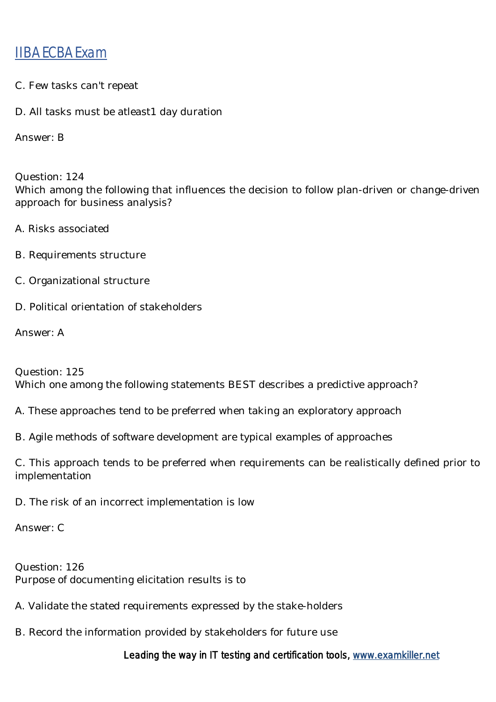- C. Few tasks can't repeat
- D. All tasks must be atleast1 day duration

Answer: B

Question: 124 Which among the following that influences the decision to follow plan-driven or change-driven approach for business analysis?

- A. Risks associated
- B. Requirements structure
- C. Organizational structure
- D. Political orientation of stakeholders

Answer: A

Question: 125 Which one among the following statements BEST describes a predictive approach?

A. These approaches tend to be preferred when taking an exploratory approach

B. Agile methods of software development are typical examples of approaches

C. This approach tends to be preferred when requirements can be realistically defined prior to implementation

D. The risk of an incorrect implementation is low

Answer: C

Question: 126 Purpose of documenting elicitation results is to

- A. Validate the stated requirements expressed by the stake-holders
- B. Record the information provided by stakeholders for future use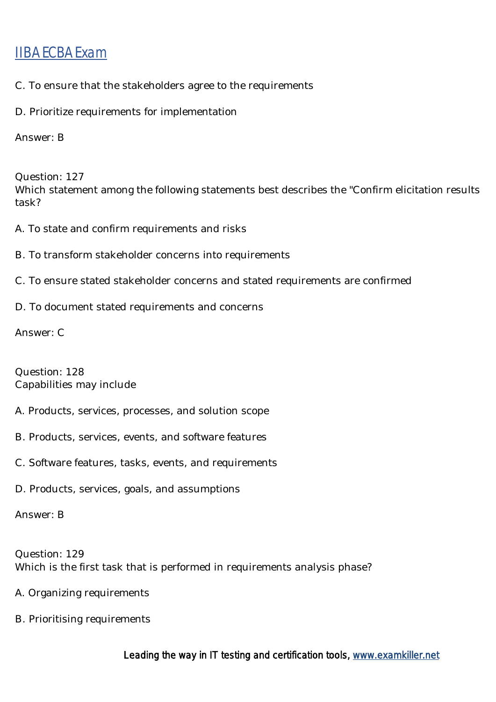- C. To ensure that the stakeholders agree to the requirements
- D. Prioritize requirements for implementation

Answer: B

Question: 127 Which statement among the following statements best describes the "Confirm elicitation results task?

- A. To state and confirm requirements and risks
- B. To transform stakeholder concerns into requirements
- C. To ensure stated stakeholder concerns and stated requirements are confirmed
- D. To document stated requirements and concerns

Answer: C

Question: 128 Capabilities may include

- A. Products, services, processes, and solution scope
- B. Products, services, events, and software features
- C. Software features, tasks, events, and requirements
- D. Products, services, goals, and assumptions

Answer: B

Question: 129 Which is the first task that is performed in requirements analysis phase?

- A. Organizing requirements
- B. Prioritising requirements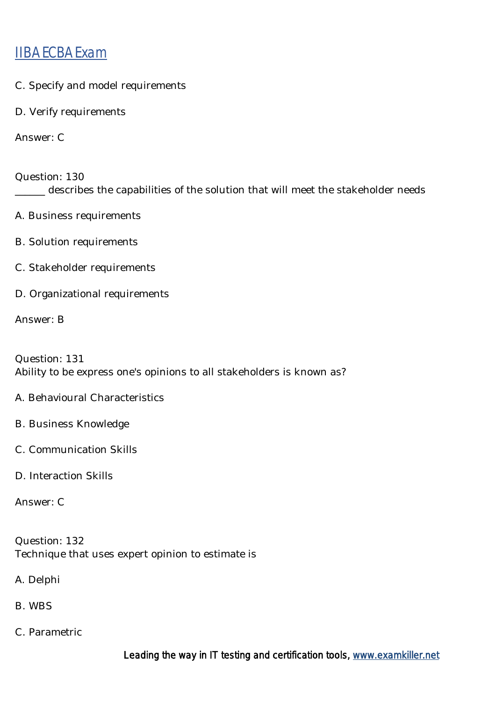- C. Specify and model requirements
- D. Verify requirements

Answer: C

Question: 130 \_\_\_\_\_\_ describes the capabilities of the solution that will meet the stakeholder needs

- A. Business requirements
- B. Solution requirements
- C. Stakeholder requirements
- D. Organizational requirements

Answer: B

Question: 131 Ability to be express one's opinions to all stakeholders is known as?

- A. Behavioural Characteristics
- B. Business Knowledge
- C. Communication Skills
- D. Interaction Skills

Answer: C

Question: 132 Technique that uses expert opinion to estimate is

- A. Delphi
- B. WBS
- C. Parametric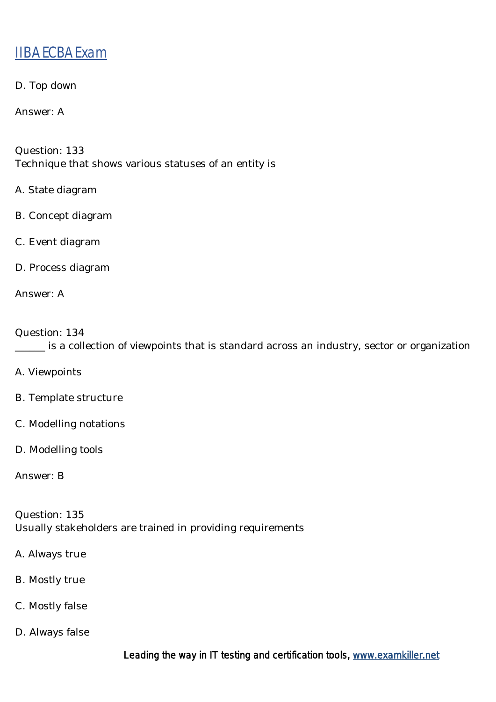D. Top down

Answer: A

Question: 133 Technique that shows various statuses of an entity is

- A. State diagram
- B. Concept diagram
- C. Event diagram
- D. Process diagram

Answer: A

Question: 134 \_\_\_\_\_\_ is a collection of viewpoints that is standard across an industry, sector or organization

- A. Viewpoints
- B. Template structure
- C. Modelling notations
- D. Modelling tools

Answer: B

Question: 135 Usually stakeholders are trained in providing requirements

- A. Always true
- B. Mostly true
- C. Mostly false
- D. Always false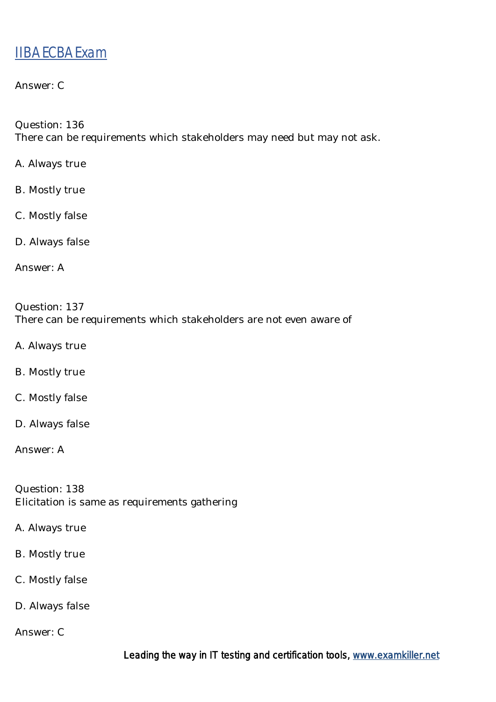#### Answer: C

Question: 136

There can be requirements which stakeholders may need but may not ask.

- A. Always true
- B. Mostly true
- C. Mostly false
- D. Always false
- Answer: A

#### Question: 137 There can be requirements which stakeholders are not even aware of

- A. Always true
- B. Mostly true
- C. Mostly false
- D. Always false

Answer: A

Question: 138 Elicitation is same as requirements gathering

- A. Always true
- B. Mostly true
- C. Mostly false
- D. Always false
- Answer: C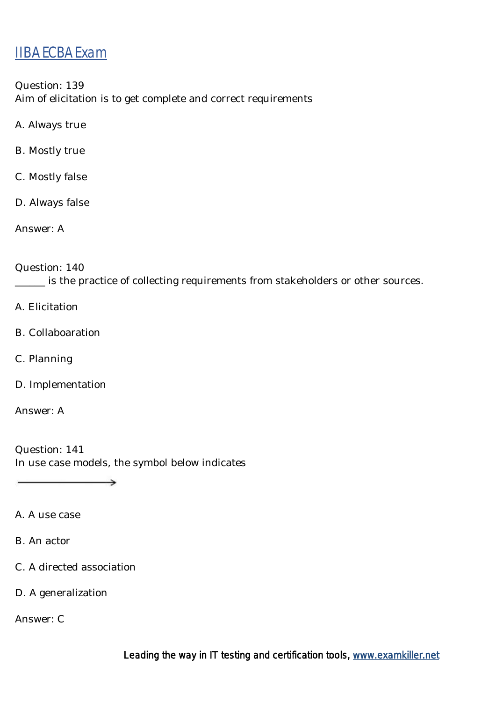Question: 139 Aim of elicitation is to get complete and correct requirements

- A. Always true
- B. Mostly true
- C. Mostly false
- D. Always false
- Answer: A

#### Question: 140

\_\_\_\_\_\_ is the practice of collecting requirements from stakeholders or other sources.

- A. Elicitation
- B. Collaboaration
- C. Planning
- D. Implementation

Answer: A

Question: 141 In use case models, the symbol below indicates

 $\longrightarrow$ 

- A. A use case
- B. An actor
- C. A directed association
- D. A generalization

Answer: C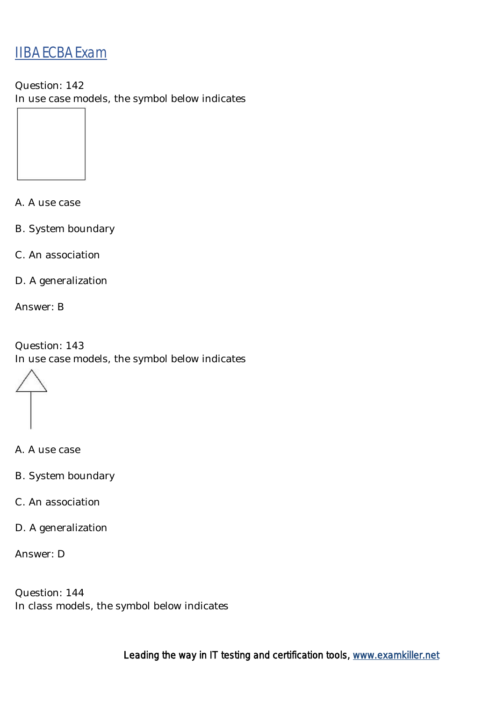Question: 142 In use case models, the symbol below indicates

A. A use case

B. System boundary

C. An association

D. A generalization

Answer: B

Question: 143 In use case models, the symbol below indicates

A. A use case

- B. System boundary
- C. An association
- D. A generalization

Answer: D

Question: 144 In class models, the symbol below indicates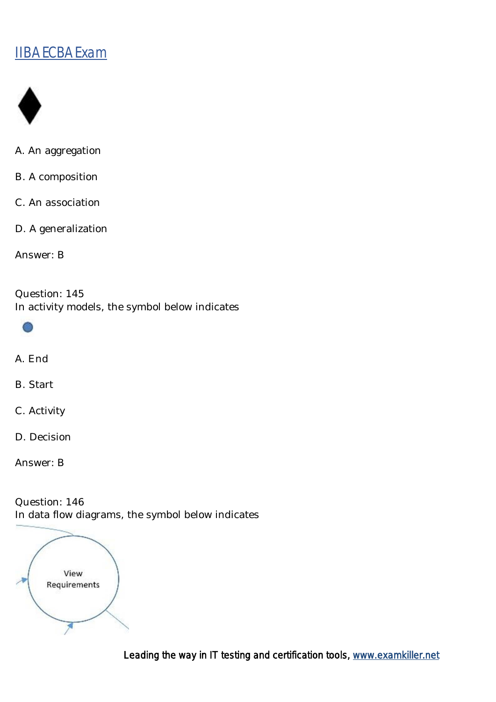

- A. An aggregation
- B. A composition
- C. An association
- D. A generalization

Answer: B

Question: 145 In activity models, the symbol below indicates



- A. End
- B. Start
- C. Activity
- D. Decision

Answer: B

Question: 146 In data flow diagrams, the symbol below indicates

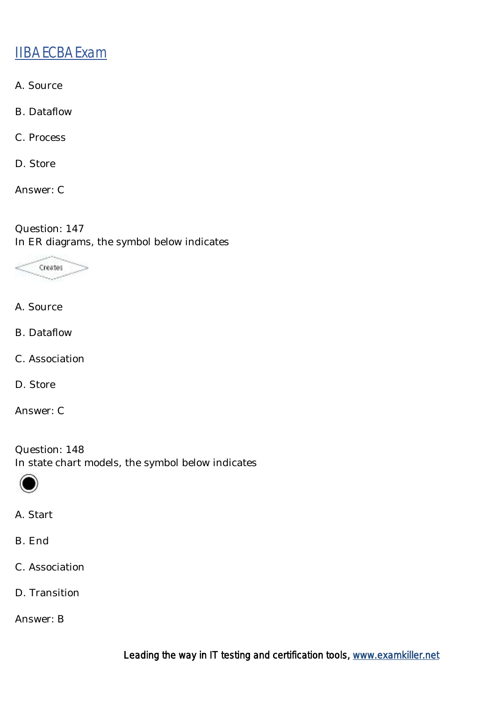- A. Source
- B. Dataflow
- C. Process
- D. Store
- Answer: C

Question: 147 In ER diagrams, the symbol below indicates



- A. Source
- B. Dataflow
- C. Association
- D. Store
- Answer: C

Question: 148 In state chart models, the symbol below indicates



- A. Start
- B. End
- C. Association
- D. Transition

Answer: B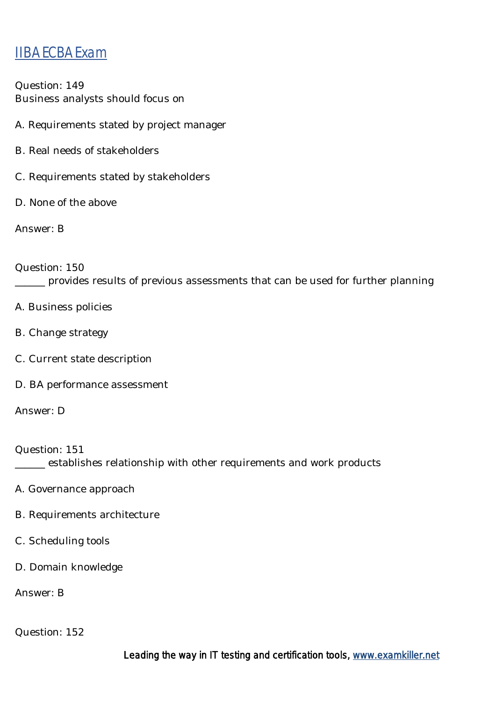Question: 149 Business analysts should focus on

- A. Requirements stated by project manager
- B. Real needs of stakeholders
- C. Requirements stated by stakeholders
- D. None of the above

Answer: B

Question: 150 \_\_\_\_\_\_ provides results of previous assessments that can be used for further planning

- A. Business policies
- B. Change strategy
- C. Current state description
- D. BA performance assessment

Answer: D

Question: 151 **\_\_\_\_\_\_** establishes relationship with other requirements and work products

- A. Governance approach
- B. Requirements architecture
- C. Scheduling tools
- D. Domain knowledge

Answer: B

Question: 152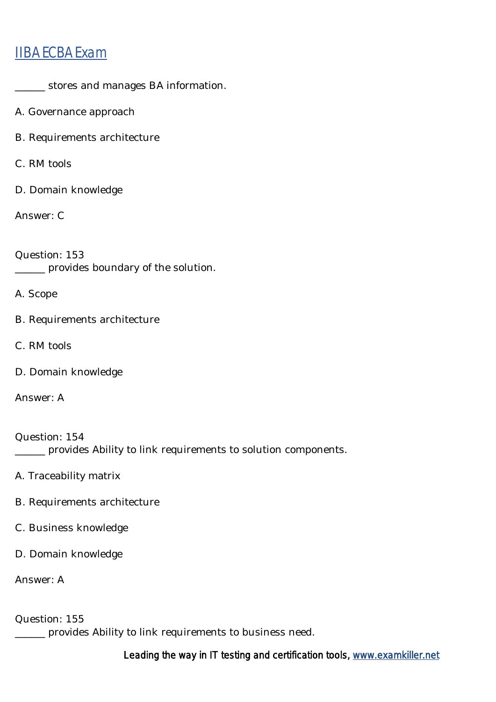- \_\_\_\_\_\_ stores and manages BA information.
- A. Governance approach
- B. Requirements architecture
- C. RM tools
- D. Domain knowledge

Answer: C

Question: 153 \_\_\_\_\_\_ provides boundary of the solution.

A. Scope

- B. Requirements architecture
- C. RM tools
- D. Domain knowledge

Answer: A

Question: 154 \_\_\_\_\_\_ provides Ability to link requirements to solution components.

- A. Traceability matrix
- B. Requirements architecture
- C. Business knowledge
- D. Domain knowledge

Answer: A

Question: 155

\_\_\_\_\_\_ provides Ability to link requirements to business need.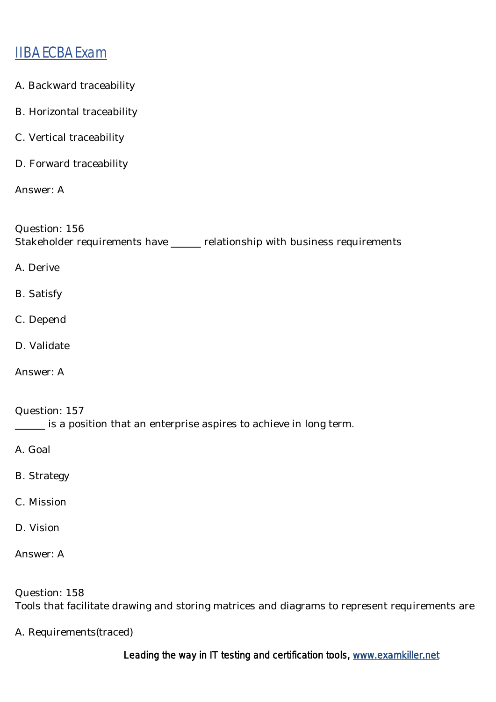- A. Backward traceability
- B. Horizontal traceability
- C. Vertical traceability
- D. Forward traceability

Answer: A

Question: 156 Stakeholder requirements have \_\_\_\_\_\_ relationship with business requirements

A. Derive

- B. Satisfy
- C. Depend
- D. Validate
- Answer: A

Question: 157 \_\_\_\_\_\_ is a position that an enterprise aspires to achieve in long term.

A. Goal

- B. Strategy
- C. Mission
- D. Vision

Answer: A

Question: 158 Tools that facilitate drawing and storing matrices and diagrams to represent requirements are

A. Requirements(traced)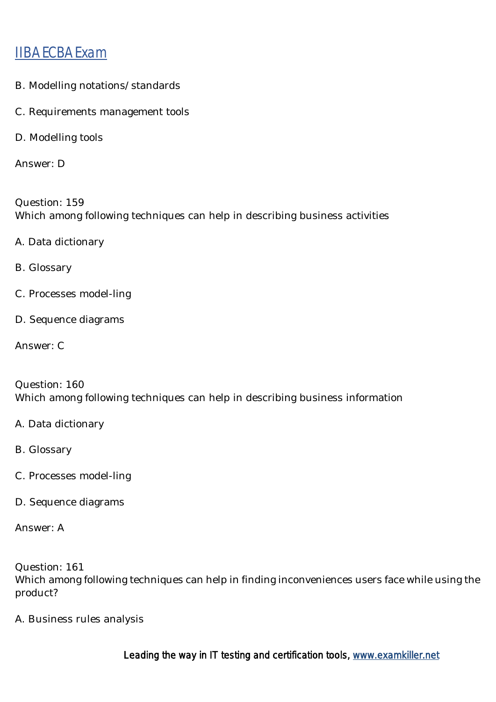- B. Modelling notations/standards
- C. Requirements management tools
- D. Modelling tools

Answer: D

Question: 159 Which among following techniques can help in describing business activities

- A. Data dictionary
- B. Glossary
- C. Processes model-ling
- D. Sequence diagrams

Answer: C

Question: 160 Which among following techniques can help in describing business information

- A. Data dictionary
- B. Glossary
- C. Processes model-ling
- D. Sequence diagrams

Answer: A

Question: 161 Which among following techniques can help in finding inconveniences users face while using the product?

A. Business rules analysis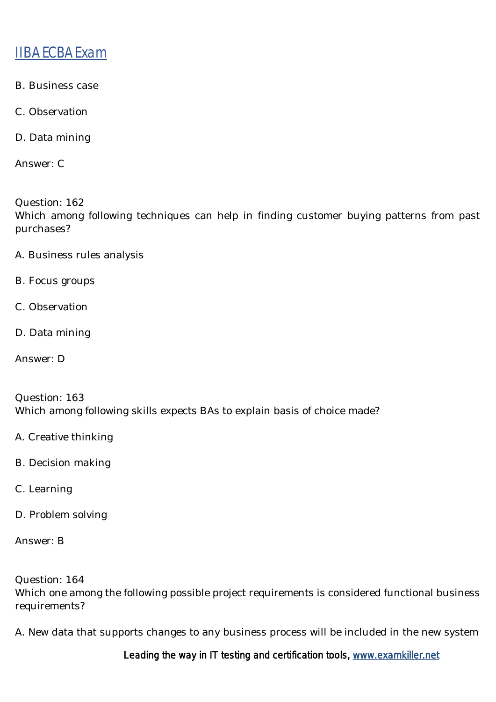- B. Business case
- C. Observation
- D. Data mining

Answer: C

Question: 162 Which among following techniques can help in finding customer buying patterns from past purchases?

- A. Business rules analysis
- B. Focus groups
- C. Observation
- D. Data mining
- Answer: D

Question: 163 Which among following skills expects BAs to explain basis of choice made?

- A. Creative thinking
- B. Decision making
- C. Learning
- D. Problem solving
- Answer: B

Question: 164

Which one among the following possible project requirements is considered functional business requirements?

A. New data that supports changes to any business process will be included in the new system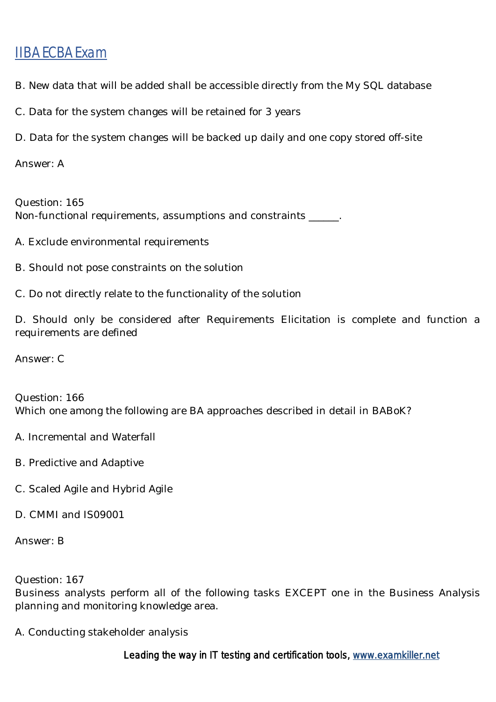- B. New data that will be added shall be accessible directly from the My SQL database
- C. Data for the system changes will be retained for 3 years
- D. Data for the system changes will be backed up daily and one copy stored off-site

Answer: A

Question: 165 Non-functional requirements, assumptions and constraints \_\_\_\_\_\_.

- A. Exclude environmental requirements
- B. Should not pose constraints on the solution
- C. Do not directly relate to the functionality of the solution

D. Should only be considered after Requirements Elicitation is complete and function a requirements are defined

Answer: C

Question: 166 Which one among the following are BA approaches described in detail in BABoK?

- A. Incremental and Waterfall
- B. Predictive and Adaptive
- C. Scaled Agile and Hybrid Agile
- D. CMMI and IS09001

Answer: B

Question: 167

Business analysts perform all of the following tasks EXCEPT one in the Business Analysis planning and monitoring knowledge area.

A. Conducting stakeholder analysis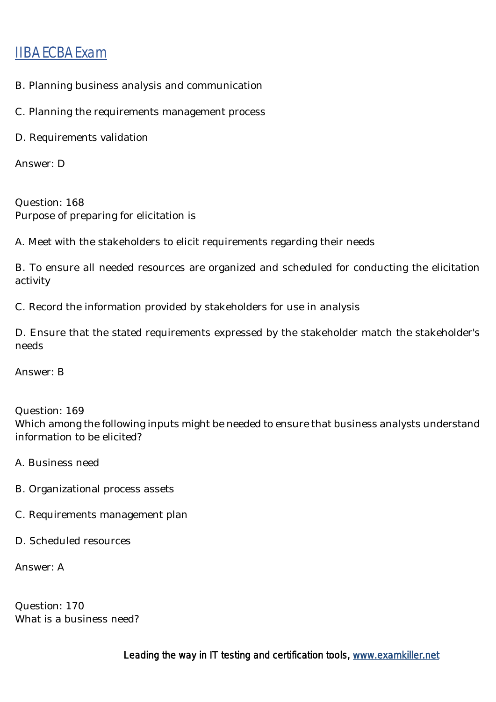- B. Planning business analysis and communication
- C. Planning the requirements management process
- D. Requirements validation

Answer: D

Question: 168 Purpose of preparing for elicitation is

A. Meet with the stakeholders to elicit requirements regarding their needs

B. To ensure all needed resources are organized and scheduled for conducting the elicitation activity

C. Record the information provided by stakeholders for use in analysis

D. Ensure that the stated requirements expressed by the stakeholder match the stakeholder's needs

Answer: B

Question: 169 Which among the following inputs might be needed to ensure that business analysts understand information to be elicited?

- A. Business need
- B. Organizational process assets
- C. Requirements management plan
- D. Scheduled resources

Answer: A

Question: 170 What is a business need?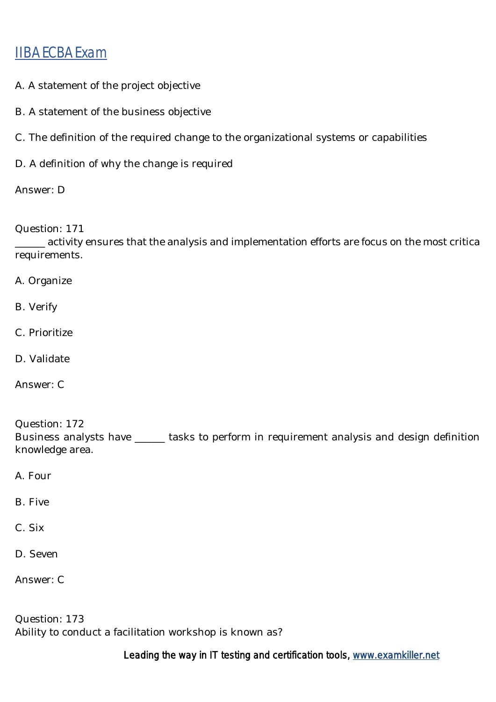- A. A statement of the project objective
- B. A statement of the business objective
- C. The definition of the required change to the organizational systems or capabilities
- D. A definition of why the change is required

Answer: D

Question: 171

\_\_\_\_\_\_ activity ensures that the analysis and implementation efforts are focus on the most critica requirements.

A. Organize

- B. Verify
- C. Prioritize
- D. Validate
- Answer: C

Question: 172 Business analysts have \_\_\_\_\_\_ tasks to perform in requirement analysis and design definition knowledge area.

A. Four

B. Five

C. Six

D. Seven

Answer: C

Question: 173 Ability to conduct a facilitation workshop is known as?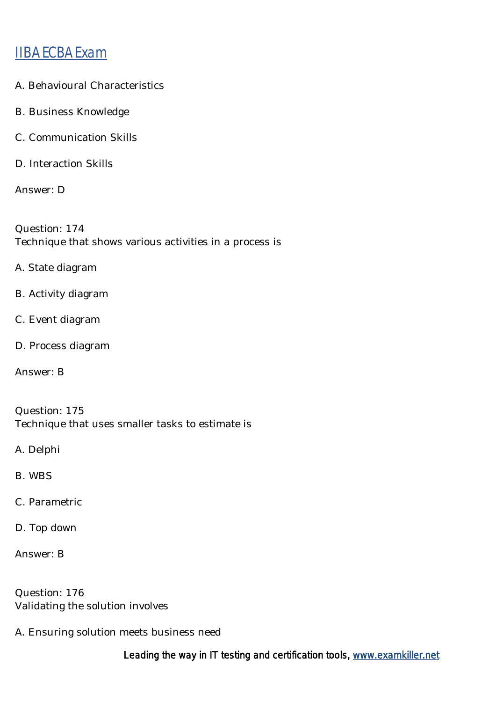- A. Behavioural Characteristics
- B. Business Knowledge
- C. Communication Skills
- D. Interaction Skills

Answer: D

Question: 174 Technique that shows various activities in a process is

- A. State diagram
- B. Activity diagram
- C. Event diagram
- D. Process diagram
- Answer: B

Question: 175 Technique that uses smaller tasks to estimate is

- A. Delphi
- B. WBS
- C. Parametric
- D. Top down

Answer: B

Question: 176 Validating the solution involves

A. Ensuring solution meets business need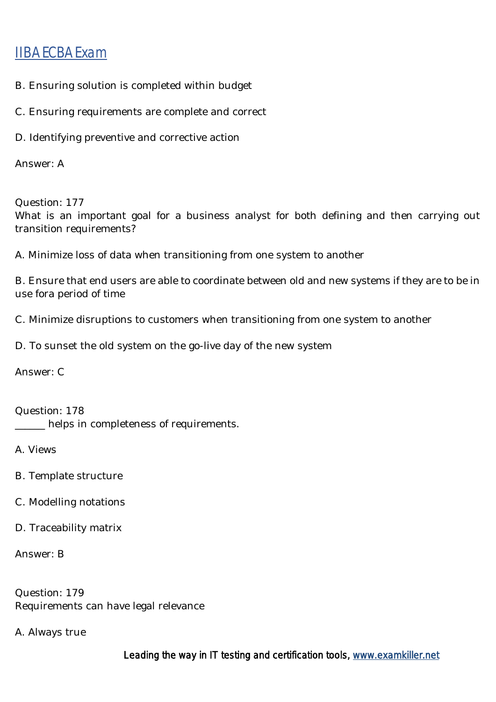- B. Ensuring solution is completed within budget
- C. Ensuring requirements are complete and correct
- D. Identifying preventive and corrective action

Answer: A

Question: 177

What is an important goal for a business analyst for both defining and then carrying out transition requirements?

A. Minimize loss of data when transitioning from one system to another

B. Ensure that end users are able to coordinate between old and new systems if they are to be in use fora period of time

C. Minimize disruptions to customers when transitioning from one system to another

D. To sunset the old system on the go-live day of the new system

Answer: C

Question: 178 \_\_\_\_\_\_ helps in completeness of requirements.

A. Views

- B. Template structure
- C. Modelling notations
- D. Traceability matrix

Answer: B

Question: 179 Requirements can have legal relevance

A. Always true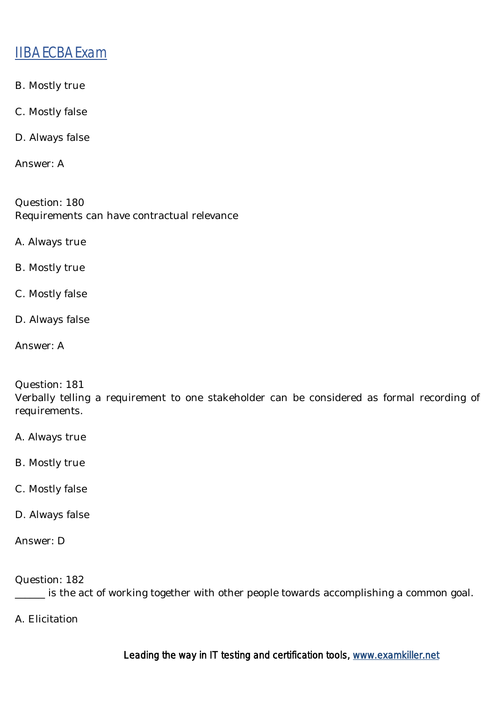- B. Mostly true
- C. Mostly false
- D. Always false

Answer: A

Question: 180 Requirements can have contractual relevance

- A. Always true
- B. Mostly true
- C. Mostly false
- D. Always false
- Answer: A

#### Question: 181

Verbally telling a requirement to one stakeholder can be considered as formal recording of requirements.

- A. Always true
- B. Mostly true
- C. Mostly false
- D. Always false
- Answer: D

Question: 182

\_\_\_\_\_\_ is the act of working together with other people towards accomplishing a common goal.

A. Elicitation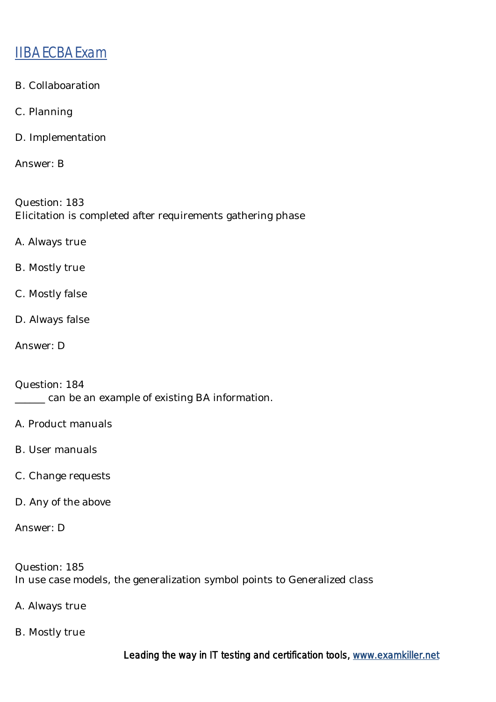- B. Collaboaration
- C. Planning
- D. Implementation

Answer: B

Question: 183 Elicitation is completed after requirements gathering phase

- A. Always true
- B. Mostly true
- C. Mostly false
- D. Always false
- Answer: D

Question: 184 \_\_\_\_\_\_ can be an example of existing BA information.

- A. Product manuals
- B. User manuals
- C. Change requests
- D. Any of the above

Answer: D

Question: 185 In use case models, the generalization symbol points to Generalized class

- A. Always true
- B. Mostly true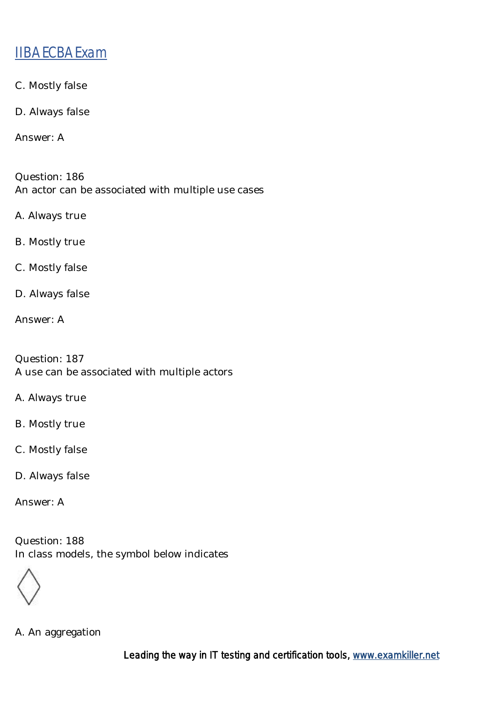- C. Mostly false
- D. Always false

Answer: A

Question: 186 An actor can be associated with multiple use cases

- A. Always true
- B. Mostly true
- C. Mostly false
- D. Always false
- Answer: A

Question: 187 A use can be associated with multiple actors

- A. Always true
- B. Mostly true
- C. Mostly false
- D. Always false

Answer: A

Question: 188 In class models, the symbol below indicates

A. An aggregation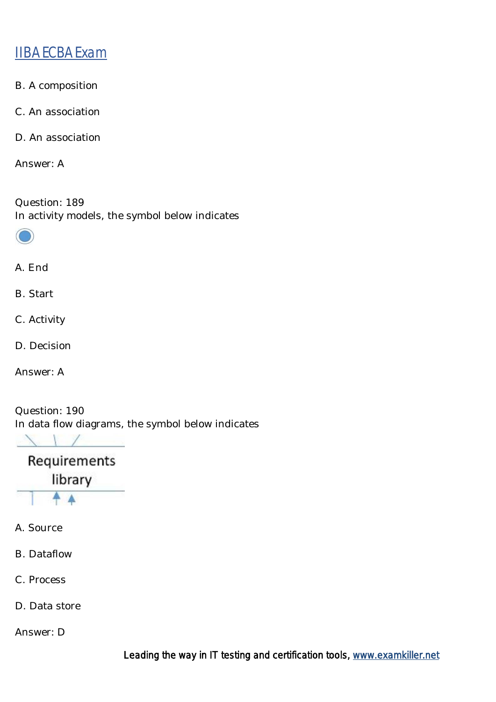- B. A composition
- C. An association
- D. An association

Answer: A

Question: 189 In activity models, the symbol below indicates



#### A. End

B. Start

- C. Activity
- D. Decision

Answer: A

Question: 190 In data flow diagrams, the symbol below indicates

 $\lambda$   $\sqrt{2}$ 

Requirements library

- A. Source
- B. Dataflow
- C. Process
- D. Data store

Answer: D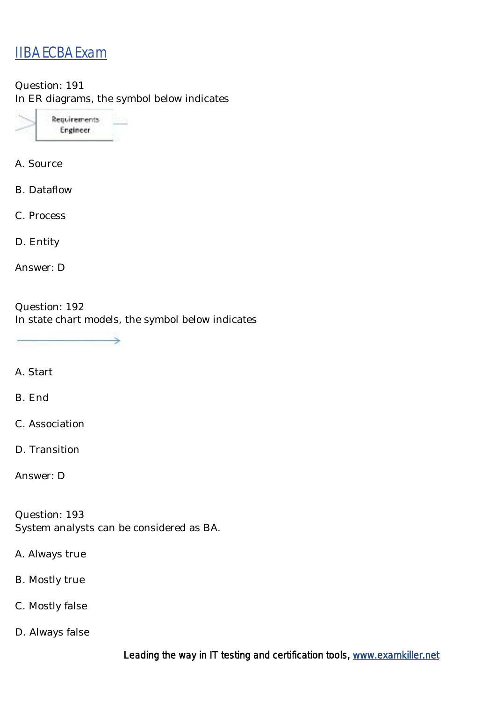Question: 191 In ER diagrams, the symbol below indicates



A. Source

B. Dataflow

C. Process

D. Entity

Answer: D

Question: 192 In state chart models, the symbol below indicates

⋟

A. Start

B. End

C. Association

D. Transition

Answer: D

Question: 193 System analysts can be considered as BA.

A. Always true

B. Mostly true

C. Mostly false

D. Always false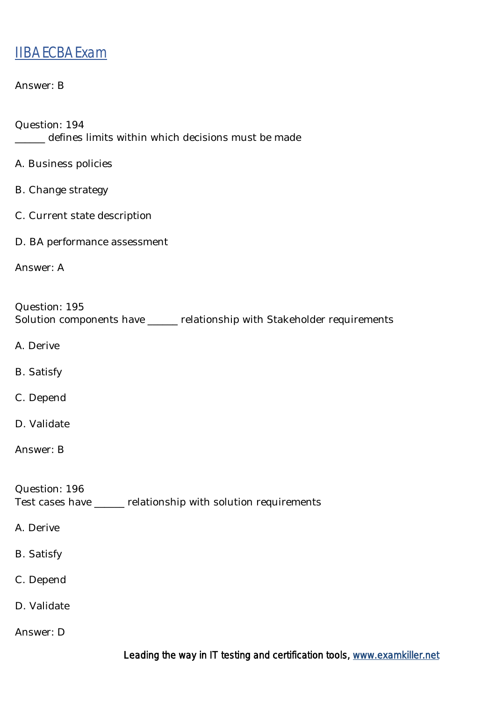#### Answer: B

- Question: 194 \_\_\_\_\_\_ defines limits within which decisions must be made
- A. Business policies
- B. Change strategy
- C. Current state description
- D. BA performance assessment

Answer: A

Question: 195 Solution components have \_\_\_\_\_\_ relationship with Stakeholder requirements

- A. Derive
- B. Satisfy
- C. Depend
- D. Validate
- Answer: B

Question: 196 Test cases have \_\_\_\_\_\_ relationship with solution requirements

- A. Derive
- B. Satisfy
- C. Depend
- D. Validate
- Answer: D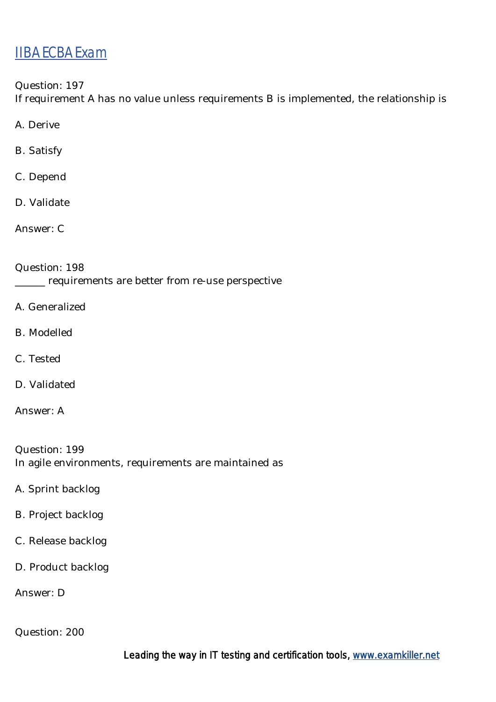Question: 197

If requirement A has no value unless requirements B is implemented, the relationship is

A. Derive

B. Satisfy

C. Depend

D. Validate

Answer: C

Question: 198 \_\_\_\_\_\_ requirements are better from re-use perspective

- A. Generalized
- B. Modelled
- C. Tested
- D. Validated

Answer: A

Question: 199 In agile environments, requirements are maintained as

- A. Sprint backlog
- B. Project backlog
- C. Release backlog
- D. Product backlog

Answer: D

Question: 200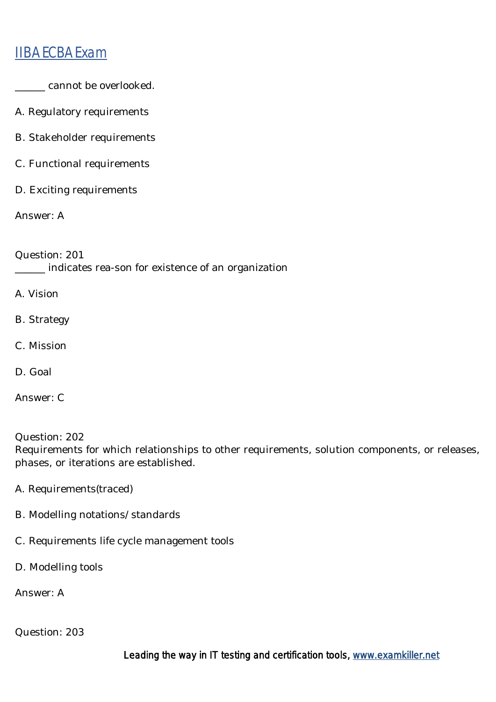- \_\_\_\_\_\_ cannot be overlooked.
- A. Regulatory requirements
- B. Stakeholder requirements
- C. Functional requirements
- D. Exciting requirements

Answer: A

Question: 201 \_\_\_\_\_\_ indicates rea-son for existence of an organization

- A. Vision
- B. Strategy
- C. Mission
- D. Goal

Answer: C

Question: 202 Requirements for which relationships to other requirements, solution components, or releases, phases, or iterations are established.

- A. Requirements(traced)
- B. Modelling notations/standards
- C. Requirements life cycle management tools
- D. Modelling tools

Answer: A

Question: 203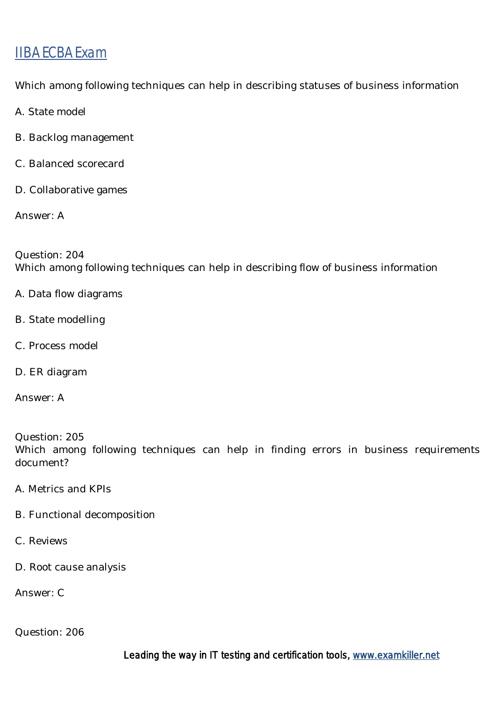Which among following techniques can help in describing statuses of business information

A. State model

- B. Backlog management
- C. Balanced scorecard
- D. Collaborative games

Answer: A

Question: 204 Which among following techniques can help in describing flow of business information

- A. Data flow diagrams
- B. State modelling
- C. Process model
- D. ER diagram
- Answer: A

Question: 205 Which among following techniques can help in finding errors in business requirements document?

- A. Metrics and KPIs
- B. Functional decomposition
- C. Reviews
- D. Root cause analysis

Answer: C

Question: 206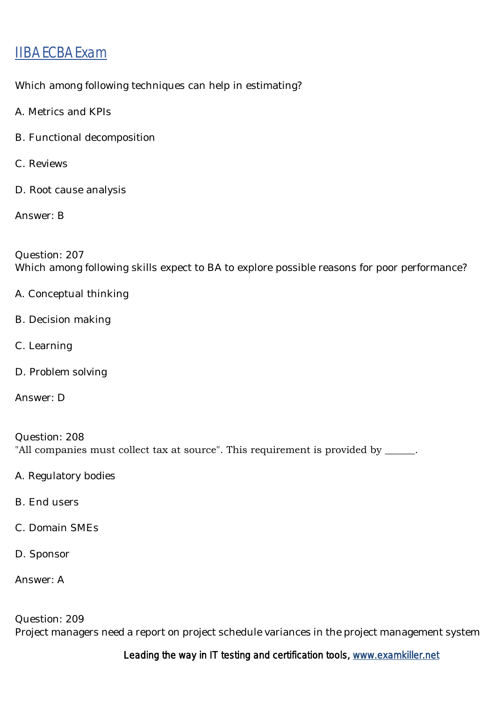Which among following techniques can help in estimating?

- A. Metrics and KPIs
- B. Functional decomposition
- C. Reviews
- D. Root cause analysis

Answer: B

Question: 207 Which among following skills expect to BA to explore possible reasons for poor performance?

- A. Conceptual thinking
- B. Decision making
- C. Learning
- D. Problem solving
- Answer: D

Question: 208 "All companies must collect tax at source″. This requirement is provided by \_\_\_\_\_\_.

- A. Regulatory bodies
- B. End users
- C. Domain SMEs
- D. Sponsor

Answer: A

Question: 209 Project managers need a report on project schedule variances in the project management system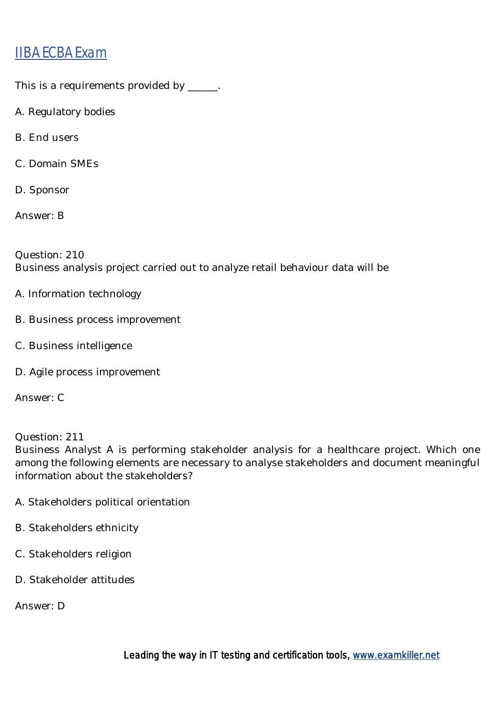This is a requirements provided by \_\_\_\_\_\_.

- A. Regulatory bodies
- B. End users
- C. Domain SMEs
- D. Sponsor

Answer: B

Question: 210 Business analysis project carried out to analyze retail behaviour data will be

- A. Information technology
- B. Business process improvement
- C. Business intelligence
- D. Agile process improvement

Answer: C

Question: 211

Business Analyst A is performing stakeholder analysis for a healthcare project. Which one among the following elements are necessary to analyse stakeholders and document meaningful information about the stakeholders?

- A. Stakeholders political orientation
- B. Stakeholders ethnicity
- C. Stakeholders religion
- D. Stakeholder attitudes

Answer: D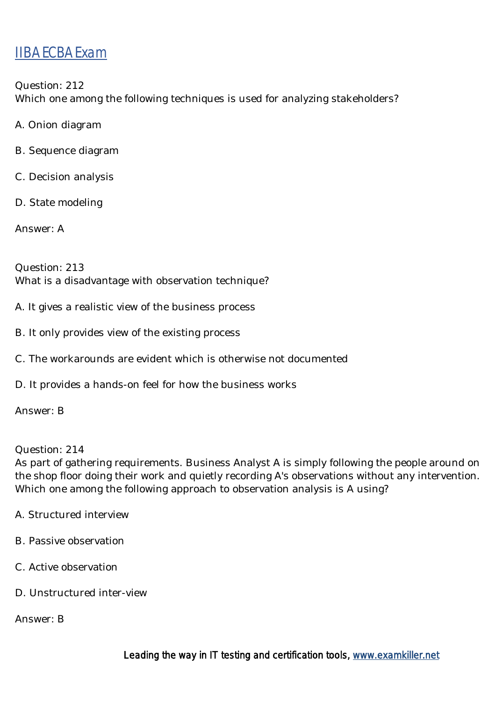Question: 212 Which one among the following techniques is used for analyzing stakeholders?

A. Onion diagram

- B. Sequence diagram
- C. Decision analysis
- D. State modeling

Answer: A

Question: 213 What is a disadvantage with observation technique?

- A. It gives a realistic view of the business process
- B. It only provides view of the existing process
- C. The workarounds are evident which is otherwise not documented
- D. It provides a hands-on feel for how the business works

Answer: B

Question: 214

As part of gathering requirements. Business Analyst A is simply following the people around on the shop floor doing their work and quietly recording A's observations without any intervention. Which one among the following approach to observation analysis is A using?

- A. Structured interview
- B. Passive observation
- C. Active observation
- D. Unstructured inter-view

Answer: B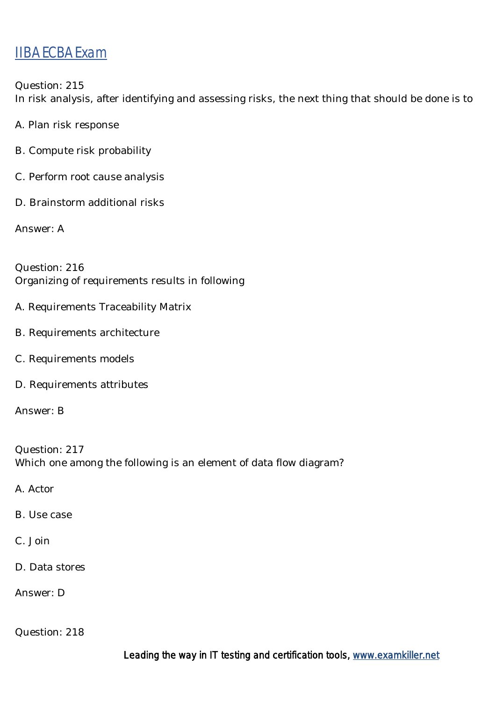Question: 215 In risk analysis, after identifying and assessing risks, the next thing that should be done is to

A. Plan risk response

- B. Compute risk probability
- C. Perform root cause analysis
- D. Brainstorm additional risks

Answer: A

Question: 216 Organizing of requirements results in following

- A. Requirements Traceability Matrix
- B. Requirements architecture
- C. Requirements models
- D. Requirements attributes

Answer: B

Question: 217 Which one among the following is an element of data flow diagram?

A. Actor

- B. Use case
- C. Join
- D. Data stores

Answer: D

Question: 218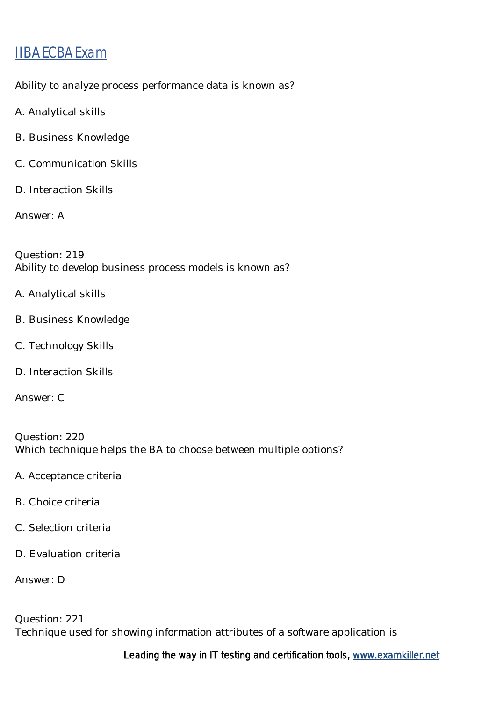Ability to analyze process performance data is known as?

- A. Analytical skills
- B. Business Knowledge
- C. Communication Skills
- D. Interaction Skills

Answer: A

Question: 219 Ability to develop business process models is known as?

- A. Analytical skills
- B. Business Knowledge
- C. Technology Skills
- D. Interaction Skills
- Answer: C

Question: 220 Which technique helps the BA to choose between multiple options?

- A. Acceptance criteria
- B. Choice criteria
- C. Selection criteria
- D. Evaluation criteria

Answer: D

Question: 221 Technique used for showing information attributes of a software application is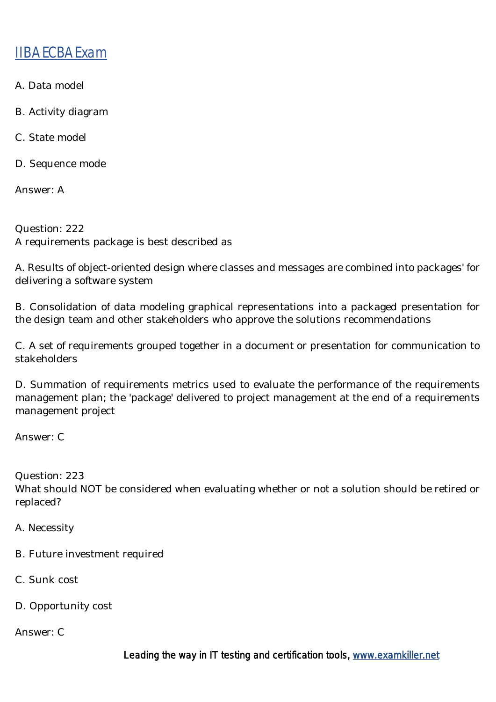- A. Data model
- B. Activity diagram
- C. State model
- D. Sequence mode

Answer: A

Question: 222 A requirements package is best described as

A. Results of object-oriented design where classes and messages are combined into packages' for delivering a software system

B. Consolidation of data modeling graphical representations into a packaged presentation for the design team and other stakeholders who approve the solutions recommendations

C. A set of requirements grouped together in a document or presentation for communication to stakeholders

D. Summation of requirements metrics used to evaluate the performance of the requirements management plan; the 'package' delivered to project management at the end of a requirements management project

Answer: C

Question: 223 What should NOT be considered when evaluating whether or not a solution should be retired or replaced?

A. Necessity

- B. Future investment required
- C. Sunk cost
- D. Opportunity cost

Answer: C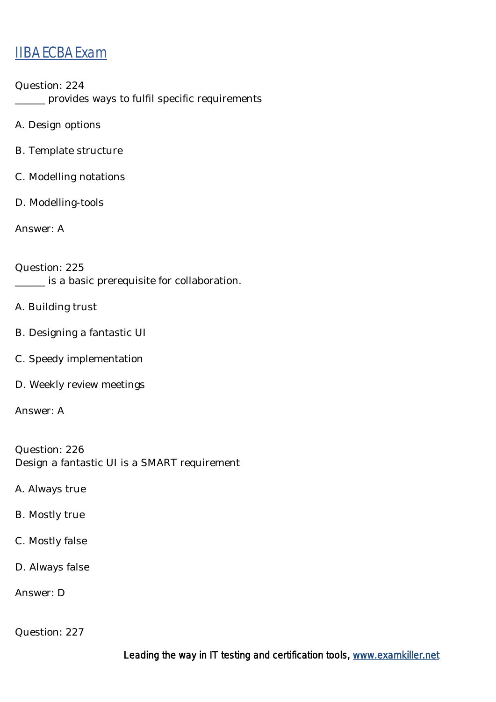Question: 224 \_\_\_\_\_\_ provides ways to fulfil specific requirements

A. Design options

B. Template structure

C. Modelling notations

D. Modelling-tools

Answer: A

Question: 225 \_\_\_\_\_\_ is a basic prerequisite for collaboration.

A. Building trust

- B. Designing a fantastic UI
- C. Speedy implementation
- D. Weekly review meetings

Answer: A

Question: 226 Design a fantastic UI is a SMART requirement

A. Always true

- B. Mostly true
- C. Mostly false
- D. Always false

Answer: D

Question: 227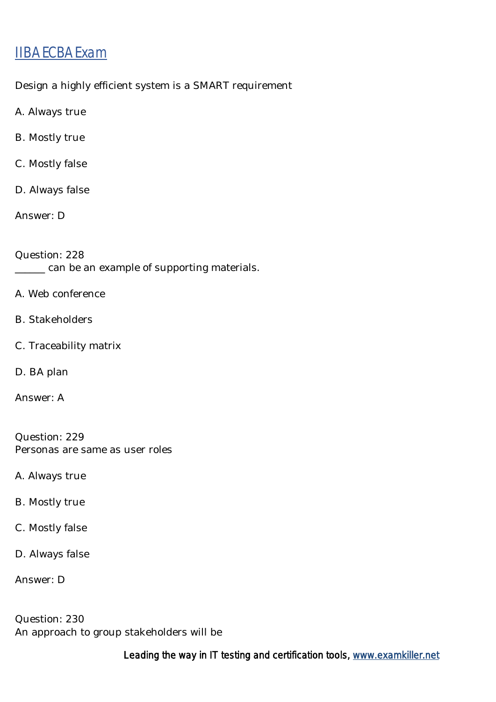Design a highly efficient system is a SMART requirement

- A. Always true
- B. Mostly true
- C. Mostly false
- D. Always false
- Answer: D

Question: 228 \_\_\_\_\_\_ can be an example of supporting materials.

- A. Web conference
- B. Stakeholders
- C. Traceability matrix
- D. BA plan
- Answer: A

Question: 229 Personas are same as user roles

- A. Always true
- B. Mostly true
- C. Mostly false
- D. Always false
- Answer: D

Question: 230 An approach to group stakeholders will be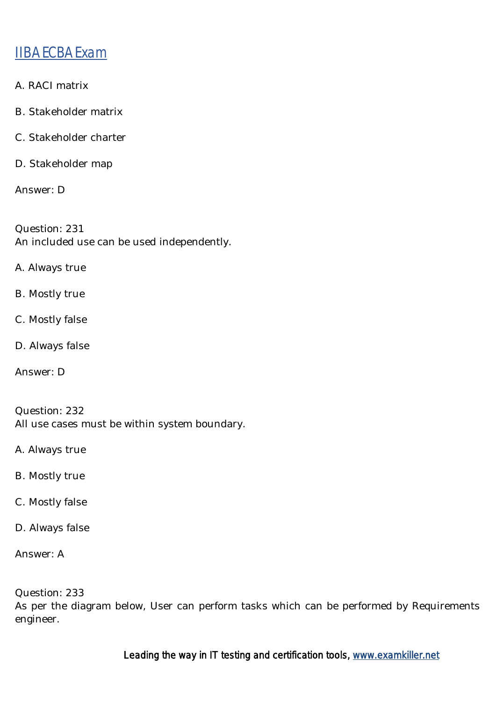- A. RACI matrix
- B. Stakeholder matrix
- C. Stakeholder charter
- D. Stakeholder map

Answer: D

Question: 231 An included use can be used independently.

- A. Always true
- B. Mostly true
- C. Mostly false
- D. Always false
- Answer: D

Question: 232 All use cases must be within system boundary.

A. Always true

- B. Mostly true
- C. Mostly false
- D. Always false

Answer: A

Question: 233 As per the diagram below, User can perform tasks which can be performed by Requirements engineer.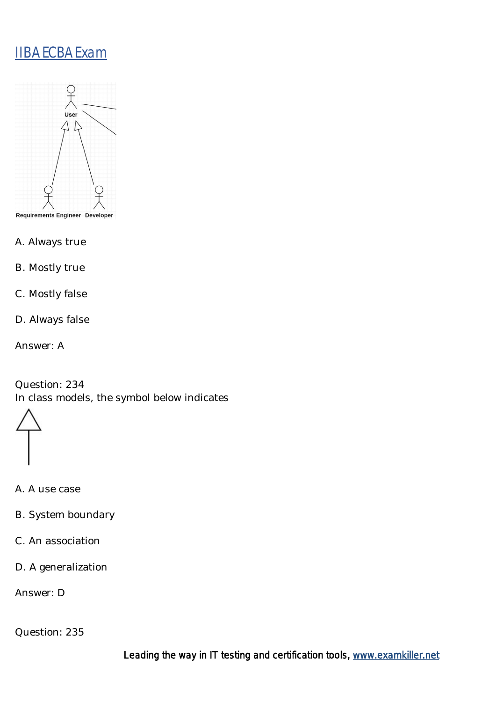

- A. Always true
- B. Mostly true
- C. Mostly false
- D. Always false
- Answer: A

Question: 234 In class models, the symbol below indicates

- A. A use case
- B. System boundary
- C. An association
- D. A generalization

Answer: D

Question: 235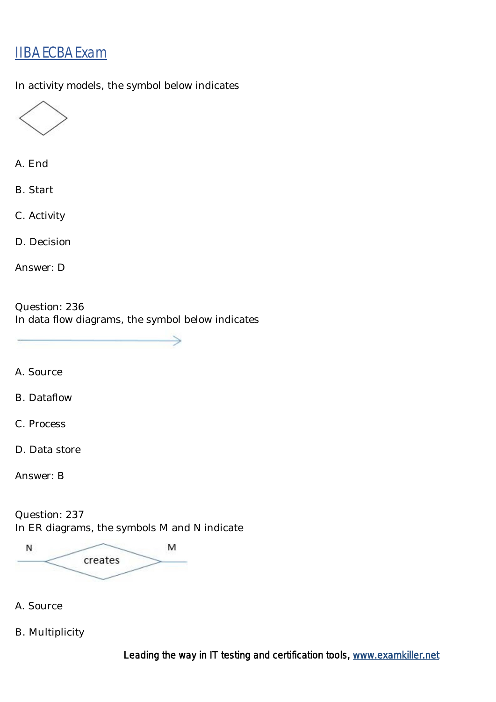In activity models, the symbol below indicates



A. End

B. Start

C. Activity

D. Decision

Answer: D

Question: 236 In data flow diagrams, the symbol below indicates

A. Source

B. Dataflow

C. Process

D. Data store

Answer: B

Question: 237 In ER diagrams, the symbols M and N indicate

N M creates

A. Source

B. Multiplicity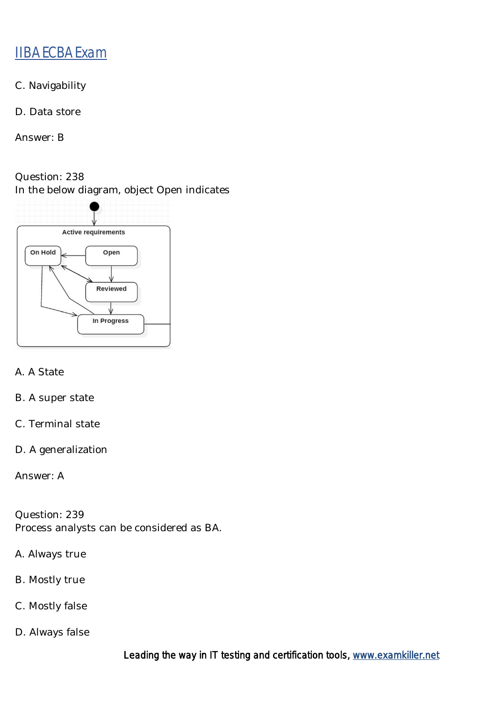- C. Navigability
- D. Data store

Answer: B

Question: 238 In the below diagram, object Open indicates



- A. A State
- B. A super state
- C. Terminal state
- D. A generalization

Answer: A

Question: 239 Process analysts can be considered as BA.

- A. Always true
- B. Mostly true
- C. Mostly false
- D. Always false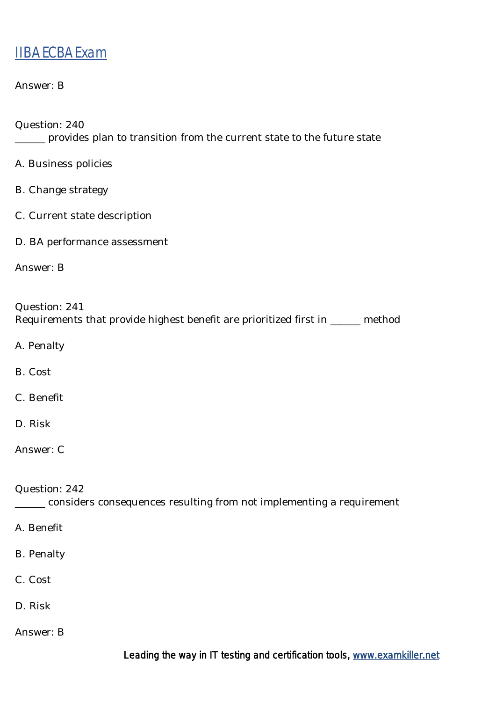| Answer: B                                                                                                                        |
|----------------------------------------------------------------------------------------------------------------------------------|
| Question: 240<br>provides plan to transition from the current state to the future state                                          |
| A. Business policies                                                                                                             |
| <b>B.</b> Change strategy                                                                                                        |
| C. Current state description                                                                                                     |
| D. BA performance assessment                                                                                                     |
| Answer: B                                                                                                                        |
| Question: 241<br>Requirements that provide highest benefit are prioritized first in _____ method<br>A. Penalty<br><b>B.</b> Cost |
| C. Benefit                                                                                                                       |
| D. Risk                                                                                                                          |
| Answer: C                                                                                                                        |
| Question: 242<br>considers consequences resulting from not implementing a requirement                                            |
| A. Benefit                                                                                                                       |
| <b>B.</b> Penalty                                                                                                                |
| C. Cost                                                                                                                          |

- D. Risk
- Answer: B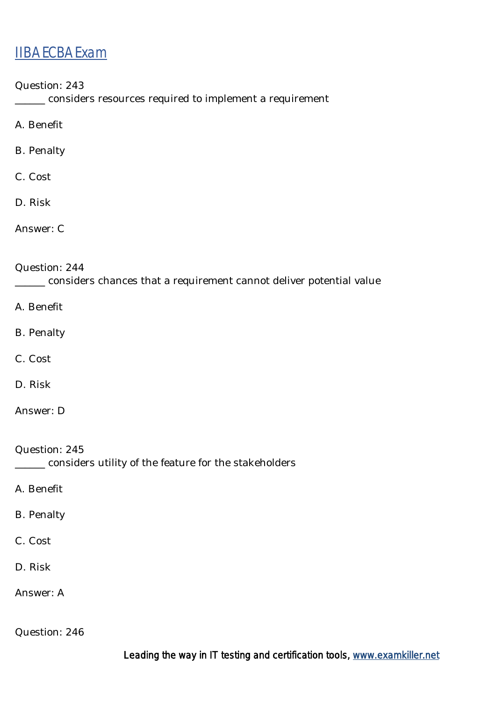Question: 243

\_\_\_\_\_\_ considers resources required to implement a requirement

A. Benefit

B. Penalty

C. Cost

D. Risk

Answer: C

Question: 244

\_\_\_\_\_\_ considers chances that a requirement cannot deliver potential value

A. Benefit

- B. Penalty
- C. Cost
- D. Risk

Answer: D

Question: 245 \_\_\_\_\_\_ considers utility of the feature for the stakeholders

A. Benefit

- B. Penalty
- C. Cost
- D. Risk

Answer: A

Question: 246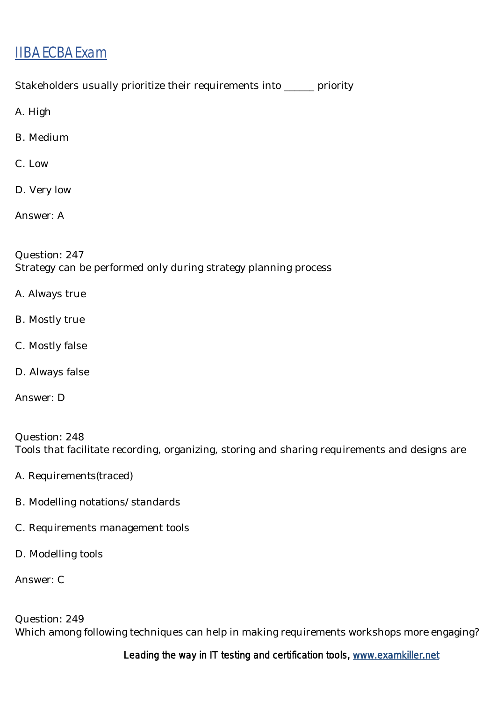Stakeholders usually prioritize their requirements into \_\_\_\_\_\_ priority

A. High

- B. Medium
- C. Low
- D. Very low

Answer: A

Question: 247 Strategy can be performed only during strategy planning process

- A. Always true
- B. Mostly true
- C. Mostly false
- D. Always false
- Answer: D

Question: 248 Tools that facilitate recording, organizing, storing and sharing requirements and designs are

- A. Requirements(traced)
- B. Modelling notations/standards
- C. Requirements management tools
- D. Modelling tools

Answer: C

Question: 249 Which among following techniques can help in making requirements workshops more engaging?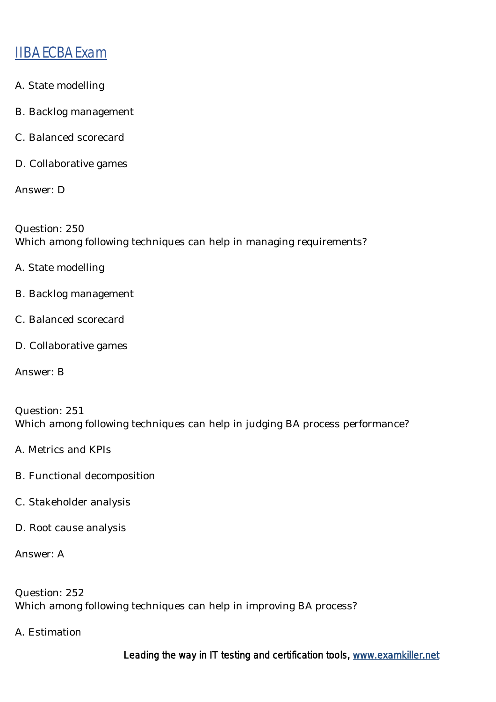- A. State modelling
- B. Backlog management
- C. Balanced scorecard
- D. Collaborative games

Answer: D

Question: 250 Which among following techniques can help in managing requirements?

- A. State modelling
- B. Backlog management
- C. Balanced scorecard
- D. Collaborative games

Answer: B

Question: 251 Which among following techniques can help in judging BA process performance?

- A. Metrics and KPIs
- B. Functional decomposition
- C. Stakeholder analysis
- D. Root cause analysis

Answer: A

Question: 252 Which among following techniques can help in improving BA process?

A. Estimation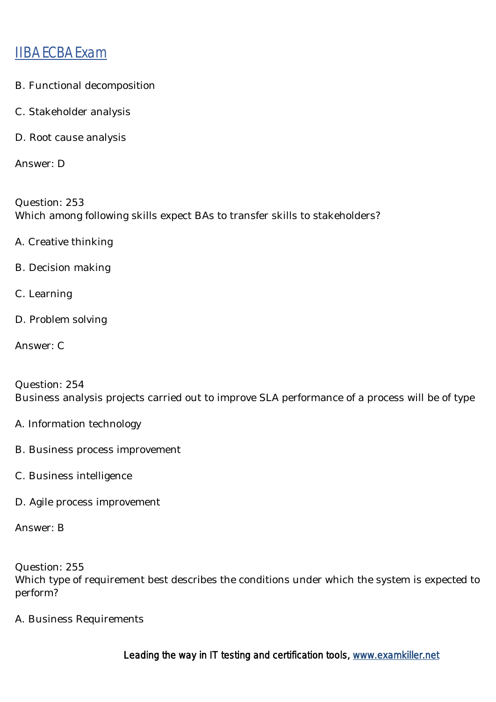- B. Functional decomposition
- C. Stakeholder analysis
- D. Root cause analysis

Answer: D

Question: 253 Which among following skills expect BAs to transfer skills to stakeholders?

- A. Creative thinking
- B. Decision making
- C. Learning
- D. Problem solving
- Answer: C

Question: 254 Business analysis projects carried out to improve SLA performance of a process will be of type

- A. Information technology
- B. Business process improvement
- C. Business intelligence
- D. Agile process improvement

Answer: B

Question: 255 Which type of requirement best describes the conditions under which the system is expected to perform?

A. Business Requirements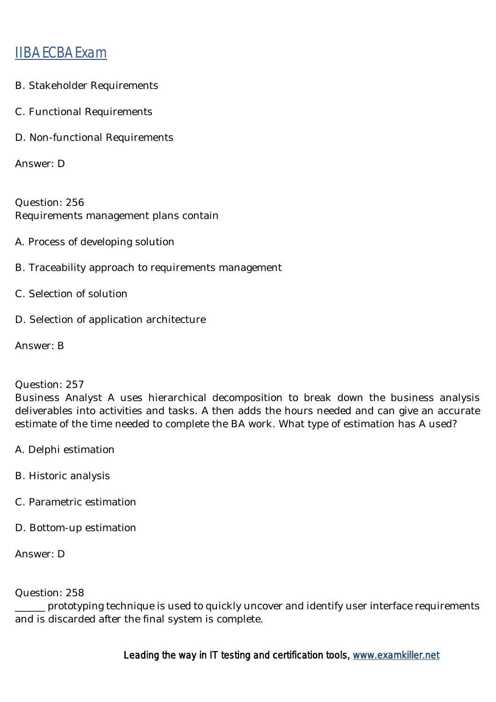- B. Stakeholder Requirements
- C. Functional Requirements
- D. Non-functional Requirements

Answer: D

Question: 256 Requirements management plans contain

- A. Process of developing solution
- B. Traceability approach to requirements management
- C. Selection of solution
- D. Selection of application architecture

Answer: B

#### Question: 257

Business Analyst A uses hierarchical decomposition to break down the business analysis deliverables into activities and tasks. A then adds the hours needed and can give an accurate estimate of the time needed to complete the BA work. What type of estimation has A used?

- A. Delphi estimation
- B. Historic analysis
- C. Parametric estimation
- D. Bottom-up estimation

Answer: D

#### Question: 258

\_\_\_\_\_\_ prototyping technique is used to quickly uncover and identify user interface requirements and is discarded after the final system is complete.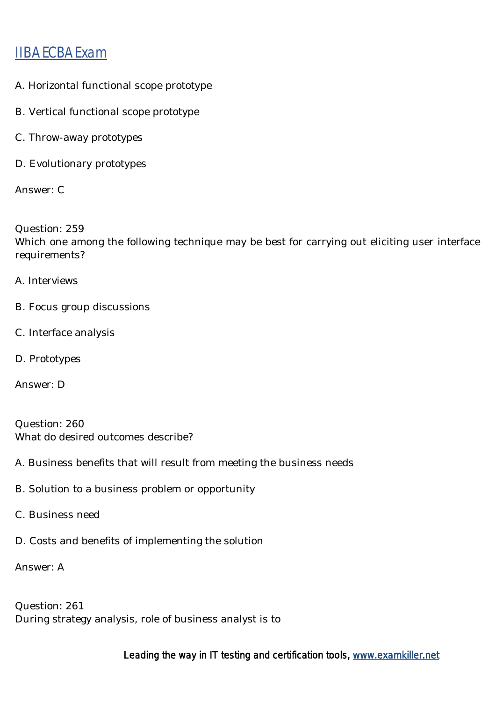- A. Horizontal functional scope prototype
- B. Vertical functional scope prototype
- C. Throw-away prototypes
- D. Evolutionary prototypes

Answer: C

Question: 259 Which one among the following technique may be best for carrying out eliciting user interface requirements?

- A. Interviews
- B. Focus group discussions
- C. Interface analysis
- D. Prototypes

Answer: D

Question: 260 What do desired outcomes describe?

- A. Business benefits that will result from meeting the business needs
- B. Solution to a business problem or opportunity
- C. Business need
- D. Costs and benefits of implementing the solution

Answer: A

Question: 261 During strategy analysis, role of business analyst is to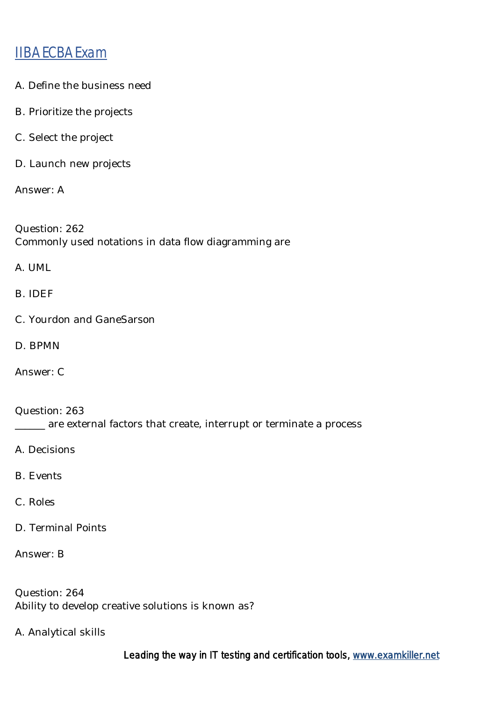- A. Define the business need
- B. Prioritize the projects
- C. Select the project
- D. Launch new projects

Answer: A

Question: 262 Commonly used notations in data flow diagramming are

A. UML

B. IDEF

- C. Yourdon and GaneSarson
- D. BPMN

Answer: C

Question: 263 \_\_\_\_\_\_ are external factors that create, interrupt or terminate a process

A. Decisions

- B. Events
- C. Roles
- D. Terminal Points

Answer: B

Question: 264 Ability to develop creative solutions is known as?

A. Analytical skills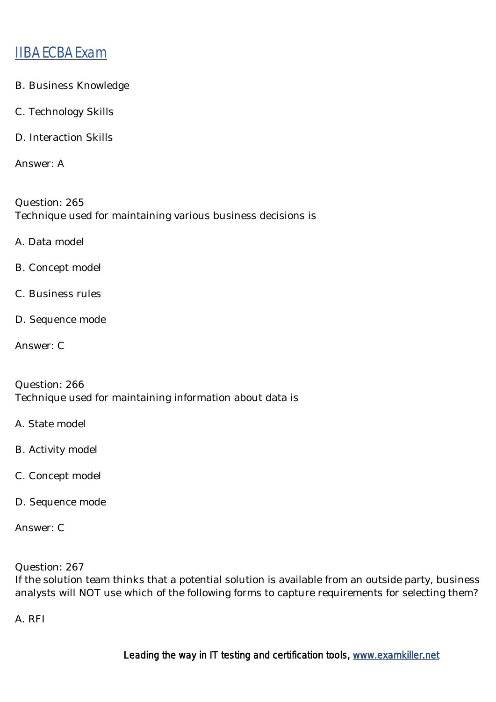- B. Business Knowledge
- C. Technology Skills
- D. Interaction Skills

Answer: A

Question: 265 Technique used for maintaining various business decisions is

- A. Data model
- B. Concept model
- C. Business rules
- D. Sequence mode
- Answer: C

Question: 266 Technique used for maintaining information about data is

- A. State model
- B. Activity model
- C. Concept model
- D. Sequence mode

Answer: C

Question: 267

If the solution team thinks that a potential solution is available from an outside party, business analysts will NOT use which of the following forms to capture requirements for selecting them?

A. RFI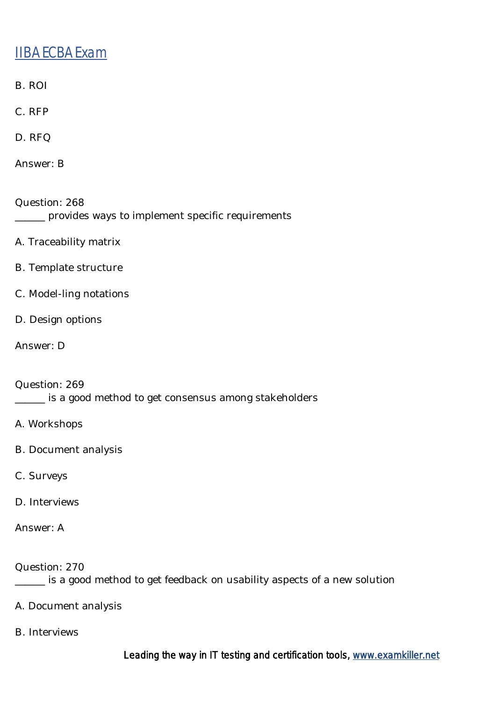- B. ROI
- C. RFP
- D. RFQ
- Answer: B
- Question: 268 \_\_\_\_\_\_ provides ways to implement specific requirements
- A. Traceability matrix
- B. Template structure
- C. Model-ling notations
- D. Design options
- Answer: D

Question: 269 \_\_\_\_\_\_ is a good method to get consensus among stakeholders

- A. Workshops
- B. Document analysis
- C. Surveys
- D. Interviews
- Answer: A

Question: 270

\_\_\_\_\_\_ is a good method to get feedback on usability aspects of a new solution

- A. Document analysis
- B. Interviews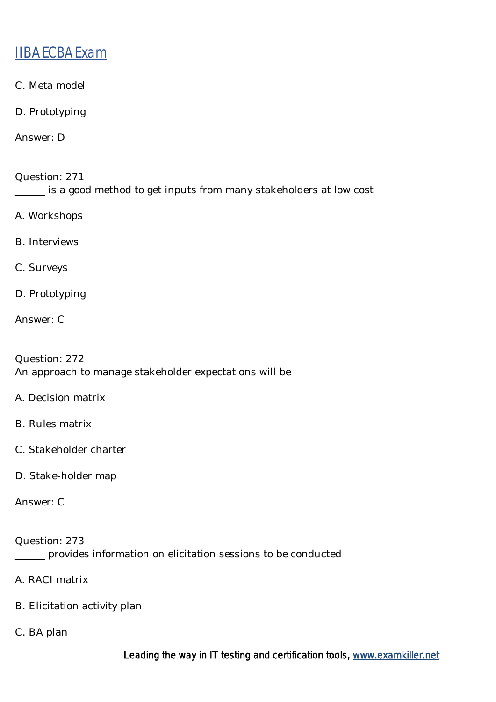- C. Meta model
- D. Prototyping

Answer: D

Question: 271 \_\_\_\_\_\_ is a good method to get inputs from many stakeholders at low cost

- A. Workshops
- B. Interviews
- C. Surveys
- D. Prototyping
- Answer: C

Question: 272 An approach to manage stakeholder expectations will be

- A. Decision matrix
- B. Rules matrix
- C. Stakeholder charter
- D. Stake-holder map

Answer: C

Question: 273 \_\_\_\_\_\_ provides information on elicitation sessions to be conducted

- A. RACI matrix
- B. Elicitation activity plan
- C. BA plan